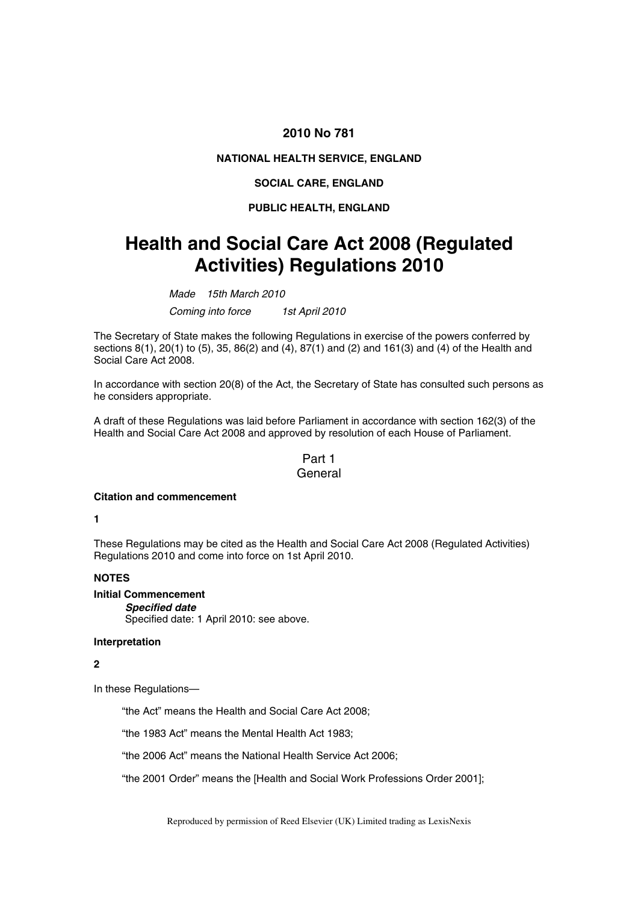## **2010 No 781**

## **NATIONAL HEALTH SERVICE, ENGLAND**

#### **SOCIAL CARE, ENGLAND**

### **PUBLIC HEALTH, ENGLAND**

# **Health and Social Care Act 2008 (Regulated Activities) Regulations 2010**

*Made 15th March 2010 Coming into force 1st April 2010* 

The Secretary of State makes the following Regulations in exercise of the powers conferred by sections 8(1), 20(1) to (5), 35, 86(2) and (4), 87(1) and (2) and 161(3) and (4) of the Health and Social Care Act 2008.

In accordance with section 20(8) of the Act, the Secretary of State has consulted such persons as he considers appropriate.

A draft of these Regulations was laid before Parliament in accordance with section 162(3) of the Health and Social Care Act 2008 and approved by resolution of each House of Parliament.

## Part 1 General

#### **Citation and commencement**

**1** 

These Regulations may be cited as the Health and Social Care Act 2008 (Regulated Activities) Regulations 2010 and come into force on 1st April 2010.

### **NOTES**

**Initial Commencement**  *Specified date* 

Specified date: 1 April 2010: see above.

#### **Interpretation**

## **2**

In these Regulations—

"the Act" means the Health and Social Care Act 2008;

"the 1983 Act" means the Mental Health Act 1983;

"the 2006 Act" means the National Health Service Act 2006;

"the 2001 Order" means the [Health and Social Work Professions Order 2001];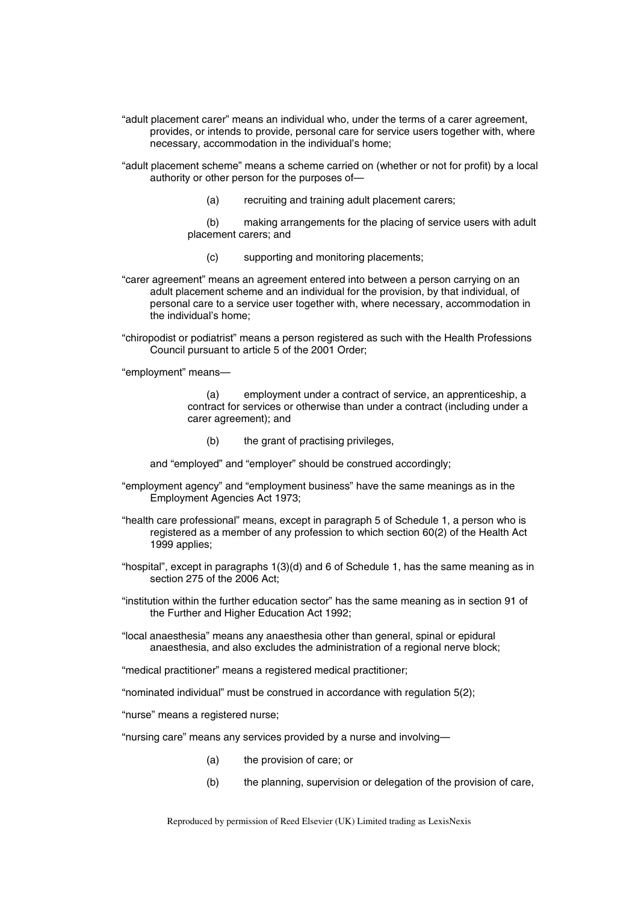"adult placement carer" means an individual who, under the terms of a carer agreement, provides, or intends to provide, personal care for service users together with, where necessary, accommodation in the individual's home;

"adult placement scheme" means a scheme carried on (whether or not for profit) by a local authority or other person for the purposes of—

- (a) recruiting and training adult placement carers;
- (b) making arrangements for the placing of service users with adult placement carers; and
	- (c) supporting and monitoring placements;

"carer agreement" means an agreement entered into between a person carrying on an adult placement scheme and an individual for the provision, by that individual, of personal care to a service user together with, where necessary, accommodation in the individual's home;

"chiropodist or podiatrist" means a person registered as such with the Health Professions Council pursuant to article 5 of the 2001 Order;

"employment" means—

(a) employment under a contract of service, an apprenticeship, a contract for services or otherwise than under a contract (including under a carer agreement); and

(b) the grant of practising privileges,

and "employed" and "employer" should be construed accordingly;

- "employment agency" and "employment business" have the same meanings as in the Employment Agencies Act 1973;
- "health care professional" means, except in paragraph 5 of Schedule 1, a person who is registered as a member of any profession to which section 60(2) of the Health Act 1999 applies;
- "hospital", except in paragraphs 1(3)(d) and 6 of Schedule 1, has the same meaning as in section 275 of the 2006 Act;
- "institution within the further education sector" has the same meaning as in section 91 of the Further and Higher Education Act 1992;
- "local anaesthesia" means any anaesthesia other than general, spinal or epidural anaesthesia, and also excludes the administration of a regional nerve block;

"medical practitioner" means a registered medical practitioner;

"nominated individual" must be construed in accordance with regulation 5(2);

"nurse" means a registered nurse;

"nursing care" means any services provided by a nurse and involving—

- (a) the provision of care; or
- (b) the planning, supervision or delegation of the provision of care,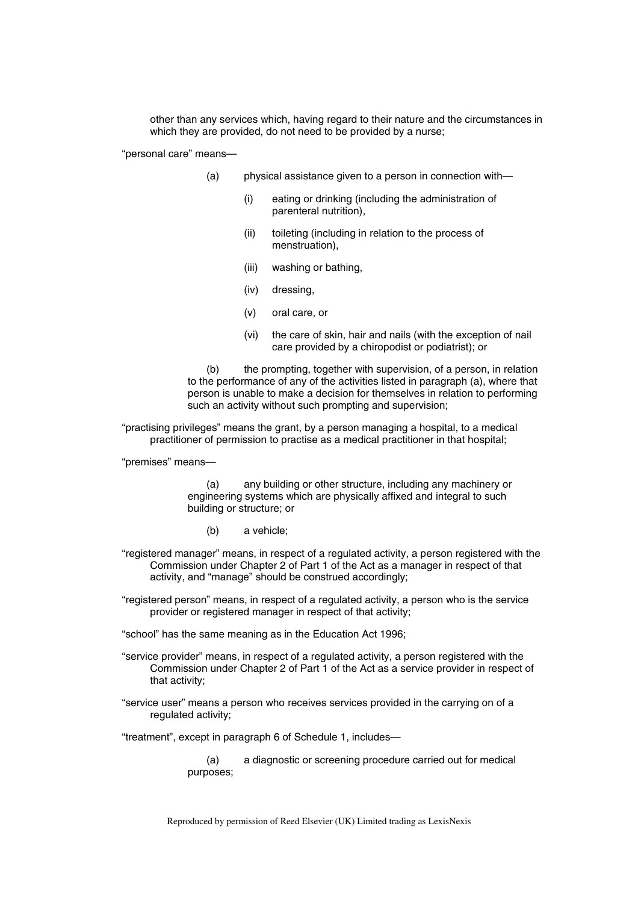other than any services which, having regard to their nature and the circumstances in which they are provided, do not need to be provided by a nurse;

"personal care" means—

- (a) physical assistance given to a person in connection with—
	- (i) eating or drinking (including the administration of parenteral nutrition),
	- (ii) toileting (including in relation to the process of menstruation),
	- (iii) washing or bathing,
	- (iv) dressing,
	- (v) oral care, or
	- (vi) the care of skin, hair and nails (with the exception of nail care provided by a chiropodist or podiatrist); or

(b) the prompting, together with supervision, of a person, in relation to the performance of any of the activities listed in paragraph (a), where that person is unable to make a decision for themselves in relation to performing such an activity without such prompting and supervision;

"practising privileges" means the grant, by a person managing a hospital, to a medical practitioner of permission to practise as a medical practitioner in that hospital;

"premises" means—

(a) any building or other structure, including any machinery or engineering systems which are physically affixed and integral to such building or structure; or

- (b) a vehicle;
- "registered manager" means, in respect of a regulated activity, a person registered with the Commission under Chapter 2 of Part 1 of the Act as a manager in respect of that activity, and "manage" should be construed accordingly;
- "registered person" means, in respect of a regulated activity, a person who is the service provider or registered manager in respect of that activity;

"school" has the same meaning as in the Education Act 1996;

- "service provider" means, in respect of a regulated activity, a person registered with the Commission under Chapter 2 of Part 1 of the Act as a service provider in respect of that activity;
- "service user" means a person who receives services provided in the carrying on of a regulated activity;

"treatment", except in paragraph 6 of Schedule 1, includes—

(a) a diagnostic or screening procedure carried out for medical purposes;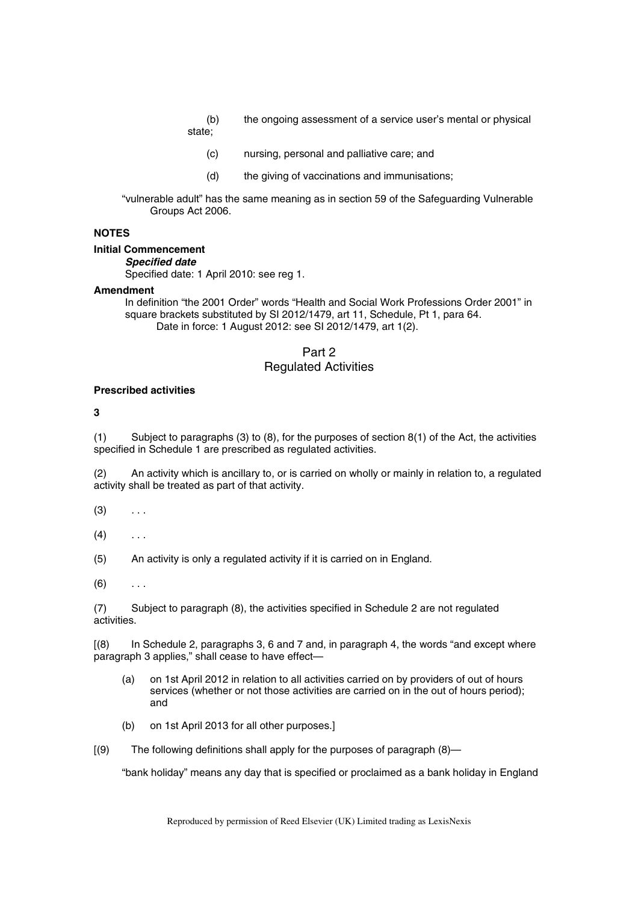- (b) the ongoing assessment of a service user's mental or physical state;
	- (c) nursing, personal and palliative care; and
	- (d) the giving of vaccinations and immunisations;

"vulnerable adult" has the same meaning as in section 59 of the Safeguarding Vulnerable Groups Act 2006.

## **NOTES**

#### **Initial Commencement**

*Specified date* 

Specified date: 1 April 2010: see reg 1.

#### **Amendment**

In definition "the 2001 Order" words "Health and Social Work Professions Order 2001" in square brackets substituted by SI 2012/1479, art 11, Schedule, Pt 1, para 64. Date in force: 1 August 2012: see SI 2012/1479, art 1(2).

## Part 2 Regulated Activities

#### **Prescribed activities**

#### **3**

(1) Subject to paragraphs (3) to (8), for the purposes of section 8(1) of the Act, the activities specified in Schedule 1 are prescribed as regulated activities.

(2) An activity which is ancillary to, or is carried on wholly or mainly in relation to, a regulated activity shall be treated as part of that activity.

- $(3)$  ...
- $(4)$  ...

(5) An activity is only a regulated activity if it is carried on in England.

 $(6)$  ...

(7) Subject to paragraph (8), the activities specified in Schedule 2 are not regulated activities.

[(8) In Schedule 2, paragraphs 3, 6 and 7 and, in paragraph 4, the words "and except where paragraph 3 applies," shall cease to have effect—

- (a) on 1st April 2012 in relation to all activities carried on by providers of out of hours services (whether or not those activities are carried on in the out of hours period); and
- (b) on 1st April 2013 for all other purposes.]
- [(9) The following definitions shall apply for the purposes of paragraph (8)—

"bank holiday" means any day that is specified or proclaimed as a bank holiday in England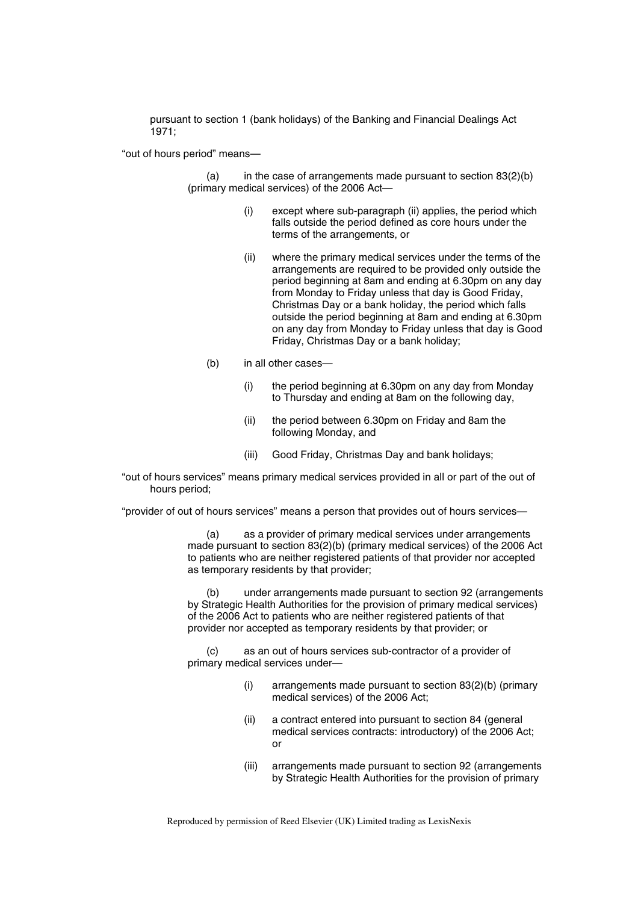pursuant to section 1 (bank holidays) of the Banking and Financial Dealings Act 1971;

"out of hours period" means—

 $(a)$  in the case of arrangements made pursuant to section  $83(2)(b)$ (primary medical services) of the 2006 Act—

- (i) except where sub-paragraph (ii) applies, the period which falls outside the period defined as core hours under the terms of the arrangements, or
- (ii) where the primary medical services under the terms of the arrangements are required to be provided only outside the period beginning at 8am and ending at 6.30pm on any day from Monday to Friday unless that day is Good Friday, Christmas Day or a bank holiday, the period which falls outside the period beginning at 8am and ending at 6.30pm on any day from Monday to Friday unless that day is Good Friday, Christmas Day or a bank holiday;
- (b) in all other cases—
	- (i) the period beginning at 6.30pm on any day from Monday to Thursday and ending at 8am on the following day,
	- (ii) the period between 6.30pm on Friday and 8am the following Monday, and
	- (iii) Good Friday, Christmas Day and bank holidays;
- "out of hours services" means primary medical services provided in all or part of the out of hours period;

"provider of out of hours services" means a person that provides out of hours services—

(a) as a provider of primary medical services under arrangements made pursuant to section 83(2)(b) (primary medical services) of the 2006 Act to patients who are neither registered patients of that provider nor accepted as temporary residents by that provider;

(b) under arrangements made pursuant to section 92 (arrangements by Strategic Health Authorities for the provision of primary medical services) of the 2006 Act to patients who are neither registered patients of that provider nor accepted as temporary residents by that provider; or

(c) as an out of hours services sub-contractor of a provider of primary medical services under—

- (i) arrangements made pursuant to section 83(2)(b) (primary medical services) of the 2006 Act;
- (ii) a contract entered into pursuant to section 84 (general medical services contracts: introductory) of the 2006 Act; or
- (iii) arrangements made pursuant to section 92 (arrangements by Strategic Health Authorities for the provision of primary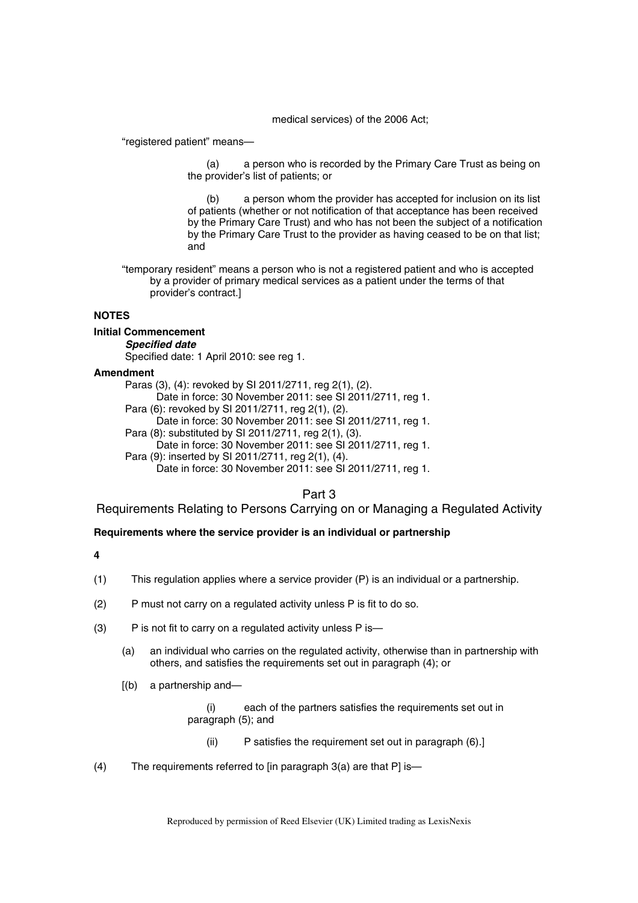medical services) of the 2006 Act;

"registered patient" means—

(a) a person who is recorded by the Primary Care Trust as being on the provider's list of patients; or

(b) a person whom the provider has accepted for inclusion on its list of patients (whether or not notification of that acceptance has been received by the Primary Care Trust) and who has not been the subject of a notification by the Primary Care Trust to the provider as having ceased to be on that list; and

"temporary resident" means a person who is not a registered patient and who is accepted by a provider of primary medical services as a patient under the terms of that provider's contract.]

## **NOTES**

### **Initial Commencement**

*Specified date* 

Specified date: 1 April 2010: see reg 1.

### **Amendment**

Paras (3), (4): revoked by SI 2011/2711, reg 2(1), (2). Date in force: 30 November 2011: see SI 2011/2711, reg 1. Para (6): revoked by SI 2011/2711, reg 2(1), (2). Date in force: 30 November 2011: see SI 2011/2711, reg 1. Para (8): substituted by SI 2011/2711, reg 2(1), (3). Date in force: 30 November 2011: see SI 2011/2711, reg 1. Para (9): inserted by SI 2011/2711, reg 2(1), (4). Date in force: 30 November 2011: see SI 2011/2711, reg 1.

## Part 3

Requirements Relating to Persons Carrying on or Managing a Regulated Activity

### **Requirements where the service provider is an individual or partnership**

**4** 

- (1) This regulation applies where a service provider (P) is an individual or a partnership.
- (2) P must not carry on a regulated activity unless P is fit to do so.
- (3) P is not fit to carry on a regulated activity unless P is—
	- (a) an individual who carries on the regulated activity, otherwise than in partnership with others, and satisfies the requirements set out in paragraph (4); or
	- [(b) a partnership and—

(i) each of the partners satisfies the requirements set out in paragraph (5); and

- (ii) P satisfies the requirement set out in paragraph (6).]
- (4) The requirements referred to  $\lim_{n \to \infty}$  paragraph 3(a) are that P is-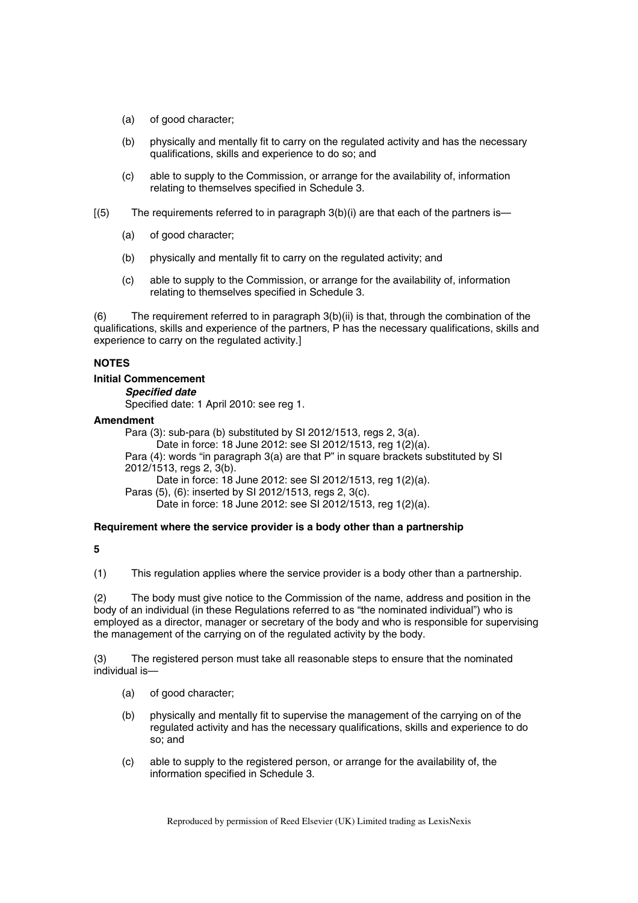- (a) of good character;
- (b) physically and mentally fit to carry on the regulated activity and has the necessary qualifications, skills and experience to do so; and
- (c) able to supply to the Commission, or arrange for the availability of, information relating to themselves specified in Schedule 3.
- $(5)$  The requirements referred to in paragraph 3(b)(i) are that each of the partners is—
	- (a) of good character;
	- (b) physically and mentally fit to carry on the regulated activity; and
	- (c) able to supply to the Commission, or arrange for the availability of, information relating to themselves specified in Schedule 3.

(6) The requirement referred to in paragraph 3(b)(ii) is that, through the combination of the qualifications, skills and experience of the partners, P has the necessary qualifications, skills and experience to carry on the regulated activity.]

#### **NOTES**

#### **Initial Commencement**

*Specified date* 

Specified date: 1 April 2010: see reg 1.

#### **Amendment**

Para (3): sub-para (b) substituted by SI 2012/1513, regs 2, 3(a). Date in force: 18 June 2012: see SI 2012/1513, reg 1(2)(a). Para (4): words "in paragraph 3(a) are that P" in square brackets substituted by SI 2012/1513, regs 2, 3(b). Date in force: 18 June 2012: see SI 2012/1513, reg 1(2)(a). Paras (5), (6): inserted by SI 2012/1513, regs 2, 3(c). Date in force: 18 June 2012: see SI 2012/1513, reg 1(2)(a).

## **Requirement where the service provider is a body other than a partnership**

## **5**

(1) This regulation applies where the service provider is a body other than a partnership.

(2) The body must give notice to the Commission of the name, address and position in the body of an individual (in these Regulations referred to as "the nominated individual") who is employed as a director, manager or secretary of the body and who is responsible for supervising the management of the carrying on of the regulated activity by the body.

(3) The registered person must take all reasonable steps to ensure that the nominated individual is—

- (a) of good character;
- (b) physically and mentally fit to supervise the management of the carrying on of the regulated activity and has the necessary qualifications, skills and experience to do so; and
- (c) able to supply to the registered person, or arrange for the availability of, the information specified in Schedule 3.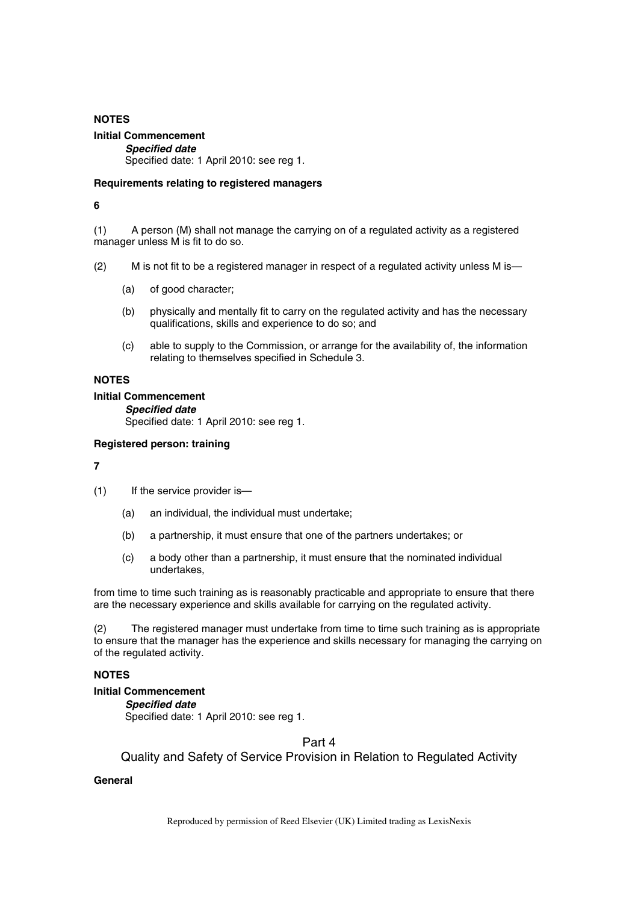## **NOTES Initial Commencement**  *Specified date*  Specified date: 1 April 2010: see reg 1.

## **Requirements relating to registered managers**

## **6**

(1) A person (M) shall not manage the carrying on of a regulated activity as a registered manager unless M is fit to do so.

- (2) M is not fit to be a registered manager in respect of a regulated activity unless M is—
	- (a) of good character;
	- (b) physically and mentally fit to carry on the regulated activity and has the necessary qualifications, skills and experience to do so; and
	- (c) able to supply to the Commission, or arrange for the availability of, the information relating to themselves specified in Schedule 3.

## **NOTES**

## **Initial Commencement**

*Specified date*  Specified date: 1 April 2010: see reg 1.

## **Registered person: training**

### **7**

- (1) If the service provider is—
	- (a) an individual, the individual must undertake;
	- (b) a partnership, it must ensure that one of the partners undertakes; or
	- (c) a body other than a partnership, it must ensure that the nominated individual undertakes,

from time to time such training as is reasonably practicable and appropriate to ensure that there are the necessary experience and skills available for carrying on the regulated activity.

(2) The registered manager must undertake from time to time such training as is appropriate to ensure that the manager has the experience and skills necessary for managing the carrying on of the regulated activity.

## **NOTES**

### **Initial Commencement**

*Specified date*  Specified date: 1 April 2010: see reg 1.

Part 4

Quality and Safety of Service Provision in Relation to Regulated Activity

## **General**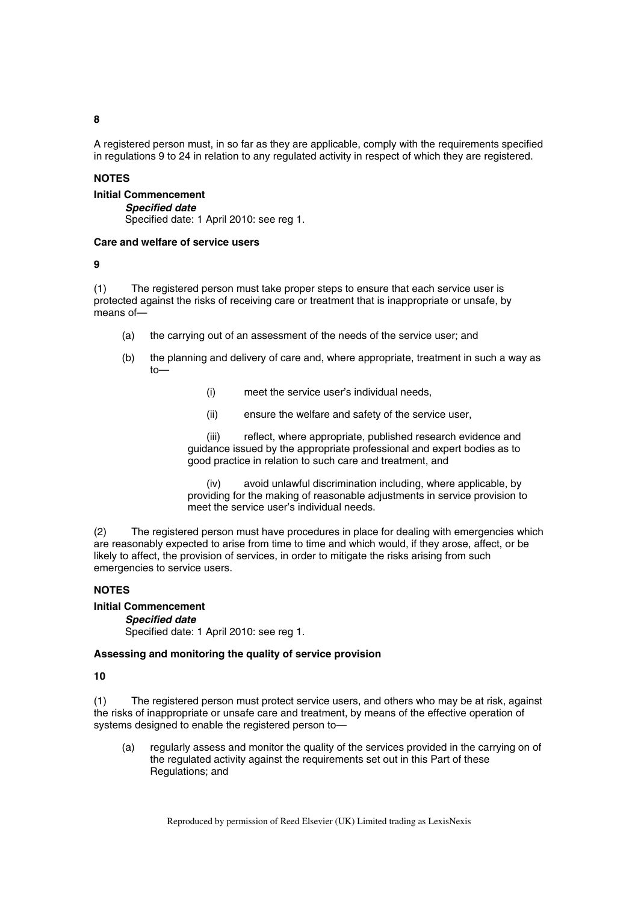**8** 

A registered person must, in so far as they are applicable, comply with the requirements specified in regulations 9 to 24 in relation to any regulated activity in respect of which they are registered.

### **NOTES**

#### **Initial Commencement**

*Specified date* 

Specified date: 1 April 2010: see reg 1.

#### **Care and welfare of service users**

### **9**

(1) The registered person must take proper steps to ensure that each service user is protected against the risks of receiving care or treatment that is inappropriate or unsafe, by means of—

- (a) the carrying out of an assessment of the needs of the service user; and
- (b) the planning and delivery of care and, where appropriate, treatment in such a way as to—
	- (i) meet the service user's individual needs,
	- (ii) ensure the welfare and safety of the service user,

(iii) reflect, where appropriate, published research evidence and guidance issued by the appropriate professional and expert bodies as to good practice in relation to such care and treatment, and

(iv) avoid unlawful discrimination including, where applicable, by providing for the making of reasonable adjustments in service provision to meet the service user's individual needs.

(2) The registered person must have procedures in place for dealing with emergencies which are reasonably expected to arise from time to time and which would, if they arose, affect, or be likely to affect, the provision of services, in order to mitigate the risks arising from such emergencies to service users.

### **NOTES**

## **Initial Commencement**

### *Specified date*

Specified date: 1 April 2010: see reg 1.

### **Assessing and monitoring the quality of service provision**

**10** 

(1) The registered person must protect service users, and others who may be at risk, against the risks of inappropriate or unsafe care and treatment, by means of the effective operation of systems designed to enable the registered person to—

(a) regularly assess and monitor the quality of the services provided in the carrying on of the regulated activity against the requirements set out in this Part of these Regulations; and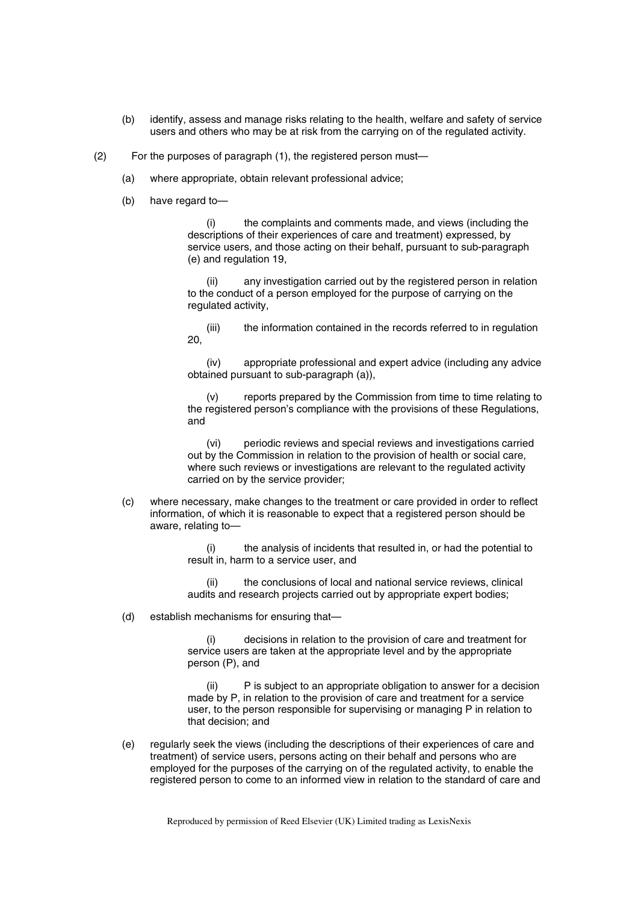- (b) identify, assess and manage risks relating to the health, welfare and safety of service users and others who may be at risk from the carrying on of the regulated activity.
- (2) For the purposes of paragraph (1), the registered person must—
	- (a) where appropriate, obtain relevant professional advice;
	- (b) have regard to—

(i) the complaints and comments made, and views (including the descriptions of their experiences of care and treatment) expressed, by service users, and those acting on their behalf, pursuant to sub-paragraph (e) and regulation 19,

(ii) any investigation carried out by the registered person in relation to the conduct of a person employed for the purpose of carrying on the regulated activity,

(iii) the information contained in the records referred to in regulation 20,

(iv) appropriate professional and expert advice (including any advice obtained pursuant to sub-paragraph (a)),

(v) reports prepared by the Commission from time to time relating to the registered person's compliance with the provisions of these Regulations, and

(vi) periodic reviews and special reviews and investigations carried out by the Commission in relation to the provision of health or social care, where such reviews or investigations are relevant to the regulated activity carried on by the service provider;

(c) where necessary, make changes to the treatment or care provided in order to reflect information, of which it is reasonable to expect that a registered person should be aware, relating to—

> the analysis of incidents that resulted in, or had the potential to result in, harm to a service user, and

(ii) the conclusions of local and national service reviews, clinical audits and research projects carried out by appropriate expert bodies;

(d) establish mechanisms for ensuring that—

(i) decisions in relation to the provision of care and treatment for service users are taken at the appropriate level and by the appropriate person (P), and

(ii) P is subject to an appropriate obligation to answer for a decision made by P, in relation to the provision of care and treatment for a service user, to the person responsible for supervising or managing P in relation to that decision; and

(e) regularly seek the views (including the descriptions of their experiences of care and treatment) of service users, persons acting on their behalf and persons who are employed for the purposes of the carrying on of the regulated activity, to enable the registered person to come to an informed view in relation to the standard of care and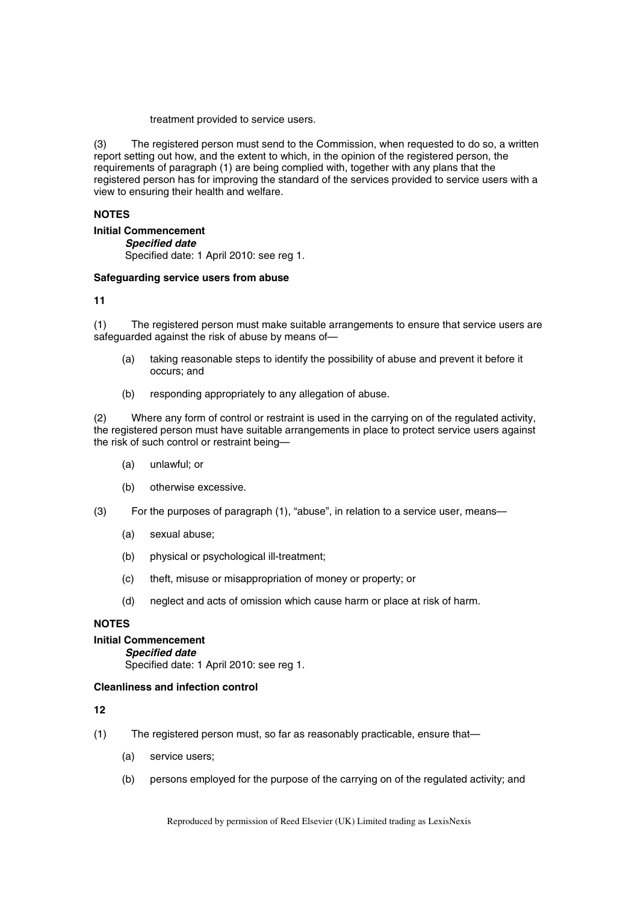treatment provided to service users.

(3) The registered person must send to the Commission, when requested to do so, a written report setting out how, and the extent to which, in the opinion of the registered person, the requirements of paragraph (1) are being complied with, together with any plans that the registered person has for improving the standard of the services provided to service users with a view to ensuring their health and welfare.

#### **NOTES**

**Initial Commencement** 

*Specified date*  Specified date: 1 April 2010: see reg 1.

#### **Safeguarding service users from abuse**

**11** 

(1) The registered person must make suitable arrangements to ensure that service users are safeguarded against the risk of abuse by means of—

- (a) taking reasonable steps to identify the possibility of abuse and prevent it before it occurs; and
- (b) responding appropriately to any allegation of abuse.

(2) Where any form of control or restraint is used in the carrying on of the regulated activity, the registered person must have suitable arrangements in place to protect service users against the risk of such control or restraint being—

- (a) unlawful; or
- (b) otherwise excessive.
- (3) For the purposes of paragraph (1), "abuse", in relation to a service user, means—
	- (a) sexual abuse;
	- (b) physical or psychological ill-treatment;
	- (c) theft, misuse or misappropriation of money or property; or
	- (d) neglect and acts of omission which cause harm or place at risk of harm.

### **NOTES**

## **Initial Commencement**

*Specified date* 

Specified date: 1 April 2010: see reg 1.

### **Cleanliness and infection control**

**12** 

- (1) The registered person must, so far as reasonably practicable, ensure that—
	- (a) service users;
	- (b) persons employed for the purpose of the carrying on of the regulated activity; and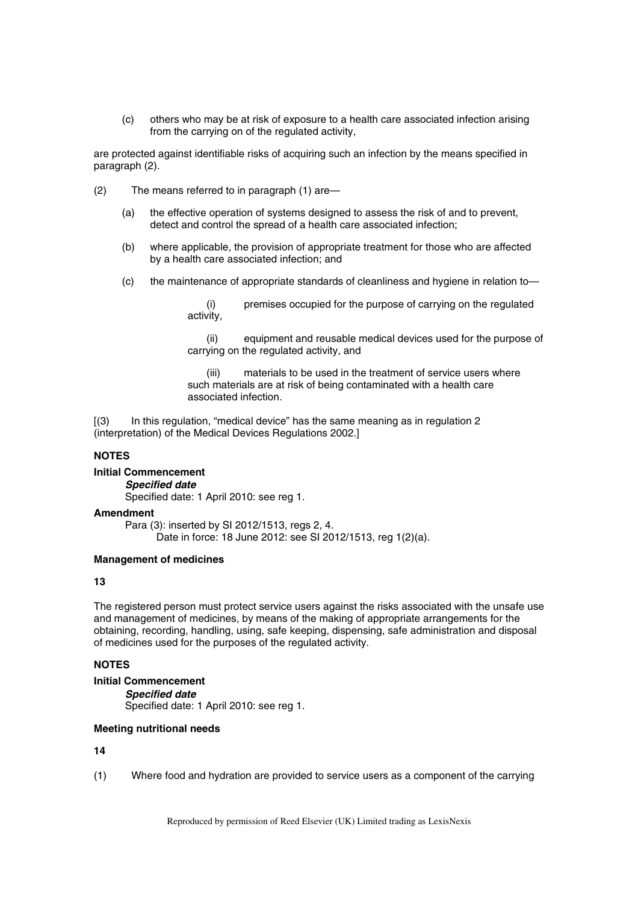(c) others who may be at risk of exposure to a health care associated infection arising from the carrying on of the regulated activity,

are protected against identifiable risks of acquiring such an infection by the means specified in paragraph (2).

- (2) The means referred to in paragraph (1) are—
	- (a) the effective operation of systems designed to assess the risk of and to prevent, detect and control the spread of a health care associated infection;
	- (b) where applicable, the provision of appropriate treatment for those who are affected by a health care associated infection; and
	- (c) the maintenance of appropriate standards of cleanliness and hygiene in relation to—

premises occupied for the purpose of carrying on the regulated activity,

(ii) equipment and reusable medical devices used for the purpose of carrying on the regulated activity, and

(iii) materials to be used in the treatment of service users where such materials are at risk of being contaminated with a health care associated infection.

[(3) In this regulation, "medical device" has the same meaning as in regulation 2 (interpretation) of the Medical Devices Regulations 2002.]

### **NOTES**

### **Initial Commencement**

*Specified date* 

Specified date: 1 April 2010: see reg 1.

### **Amendment**

Para (3): inserted by SI 2012/1513, regs 2, 4. Date in force: 18 June 2012: see SI 2012/1513, reg 1(2)(a).

#### **Management of medicines**

### **13**

The registered person must protect service users against the risks associated with the unsafe use and management of medicines, by means of the making of appropriate arrangements for the obtaining, recording, handling, using, safe keeping, dispensing, safe administration and disposal of medicines used for the purposes of the regulated activity.

### **NOTES**

```
Initial Commencement
```

```
Specified date
```
Specified date: 1 April 2010: see reg 1.

#### **Meeting nutritional needs**

**14** 

(1) Where food and hydration are provided to service users as a component of the carrying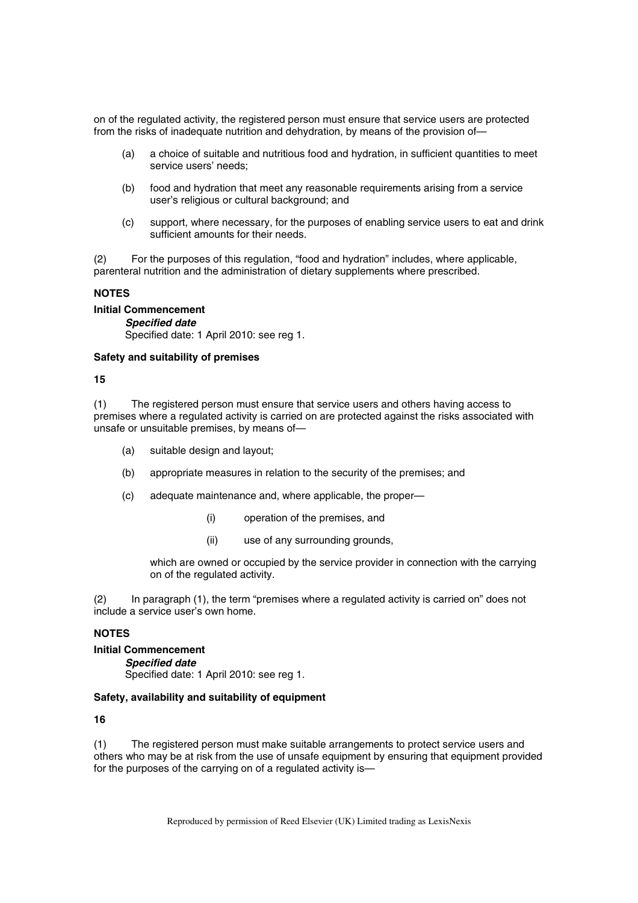on of the regulated activity, the registered person must ensure that service users are protected from the risks of inadequate nutrition and dehydration, by means of the provision of—

- (a) a choice of suitable and nutritious food and hydration, in sufficient quantities to meet service users' needs;
- (b) food and hydration that meet any reasonable requirements arising from a service user's religious or cultural background; and
- (c) support, where necessary, for the purposes of enabling service users to eat and drink sufficient amounts for their needs.

(2) For the purposes of this regulation, "food and hydration" includes, where applicable, parenteral nutrition and the administration of dietary supplements where prescribed.

#### **NOTES**

**Initial Commencement**  *Specified date* 

Specified date: 1 April 2010: see reg 1.

#### **Safety and suitability of premises**

**15** 

(1) The registered person must ensure that service users and others having access to premises where a regulated activity is carried on are protected against the risks associated with unsafe or unsuitable premises, by means of—

- (a) suitable design and layout;
- (b) appropriate measures in relation to the security of the premises; and
- (c) adequate maintenance and, where applicable, the proper—
	- (i) operation of the premises, and
	- (ii) use of any surrounding grounds,

which are owned or occupied by the service provider in connection with the carrying on of the regulated activity.

(2) In paragraph (1), the term "premises where a regulated activity is carried on" does not include a service user's own home.

## **NOTES**

**Initial Commencement** 

#### *Specified date*

Specified date: 1 April 2010: see reg 1.

#### **Safety, availability and suitability of equipment**

## **16**

(1) The registered person must make suitable arrangements to protect service users and others who may be at risk from the use of unsafe equipment by ensuring that equipment provided for the purposes of the carrying on of a regulated activity is—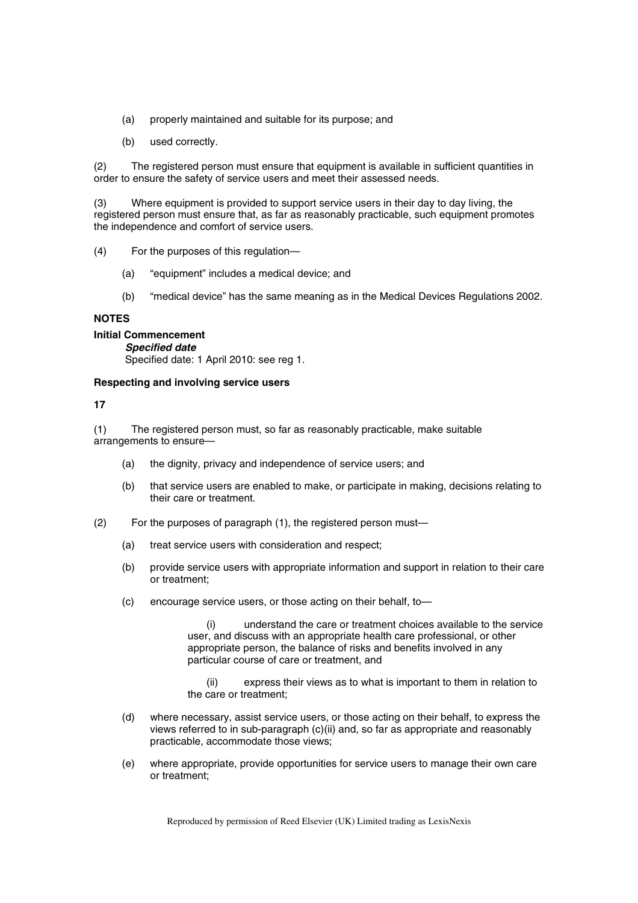- (a) properly maintained and suitable for its purpose; and
- (b) used correctly.

(2) The registered person must ensure that equipment is available in sufficient quantities in order to ensure the safety of service users and meet their assessed needs.

(3) Where equipment is provided to support service users in their day to day living, the registered person must ensure that, as far as reasonably practicable, such equipment promotes the independence and comfort of service users.

- (4) For the purposes of this regulation—
	- (a) "equipment" includes a medical device; and
	- (b) "medical device" has the same meaning as in the Medical Devices Regulations 2002.

#### **NOTES**

#### **Initial Commencement**

*Specified date*  Specified date: 1 April 2010: see reg 1.

#### **Respecting and involving service users**

**17** 

(1) The registered person must, so far as reasonably practicable, make suitable arrangements to ensure—

- (a) the dignity, privacy and independence of service users; and
- (b) that service users are enabled to make, or participate in making, decisions relating to their care or treatment.
- (2) For the purposes of paragraph (1), the registered person must—
	- (a) treat service users with consideration and respect;
	- (b) provide service users with appropriate information and support in relation to their care or treatment;
	- (c) encourage service users, or those acting on their behalf, to—

(i) understand the care or treatment choices available to the service user, and discuss with an appropriate health care professional, or other appropriate person, the balance of risks and benefits involved in any particular course of care or treatment, and

(ii) express their views as to what is important to them in relation to the care or treatment;

- (d) where necessary, assist service users, or those acting on their behalf, to express the views referred to in sub-paragraph (c)(ii) and, so far as appropriate and reasonably practicable, accommodate those views;
- (e) where appropriate, provide opportunities for service users to manage their own care or treatment;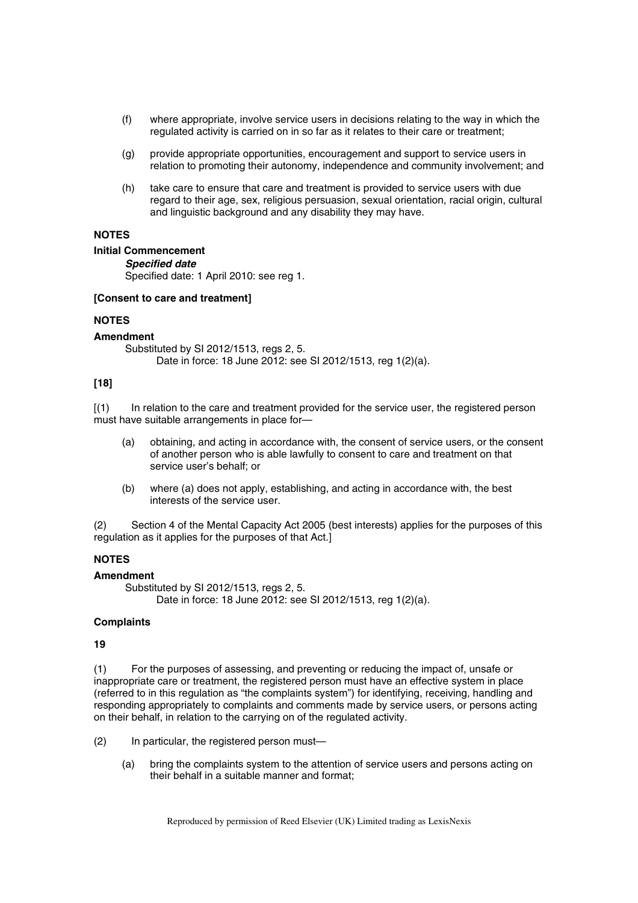- (f) where appropriate, involve service users in decisions relating to the way in which the regulated activity is carried on in so far as it relates to their care or treatment;
- (g) provide appropriate opportunities, encouragement and support to service users in relation to promoting their autonomy, independence and community involvement; and
- (h) take care to ensure that care and treatment is provided to service users with due regard to their age, sex, religious persuasion, sexual orientation, racial origin, cultural and linguistic background and any disability they may have.

## **NOTES**

#### **Initial Commencement**

#### *Specified date*

Specified date: 1 April 2010: see reg 1.

#### **[Consent to care and treatment]**

### **NOTES**

#### **Amendment**

Substituted by SI 2012/1513, regs 2, 5. Date in force: 18 June 2012: see SI 2012/1513, reg 1(2)(a).

## **[18]**

[(1) In relation to the care and treatment provided for the service user, the registered person must have suitable arrangements in place for—

- (a) obtaining, and acting in accordance with, the consent of service users, or the consent of another person who is able lawfully to consent to care and treatment on that service user's behalf; or
- (b) where (a) does not apply, establishing, and acting in accordance with, the best interests of the service user.

(2) Section 4 of the Mental Capacity Act 2005 (best interests) applies for the purposes of this regulation as it applies for the purposes of that Act.]

## **NOTES**

#### **Amendment**

Substituted by SI 2012/1513, regs 2, 5, Date in force: 18 June 2012: see SI 2012/1513, reg 1(2)(a).

### **Complaints**

#### **19**

(1) For the purposes of assessing, and preventing or reducing the impact of, unsafe or inappropriate care or treatment, the registered person must have an effective system in place (referred to in this regulation as "the complaints system") for identifying, receiving, handling and responding appropriately to complaints and comments made by service users, or persons acting on their behalf, in relation to the carrying on of the regulated activity.

- (2) In particular, the registered person must—
	- (a) bring the complaints system to the attention of service users and persons acting on their behalf in a suitable manner and format;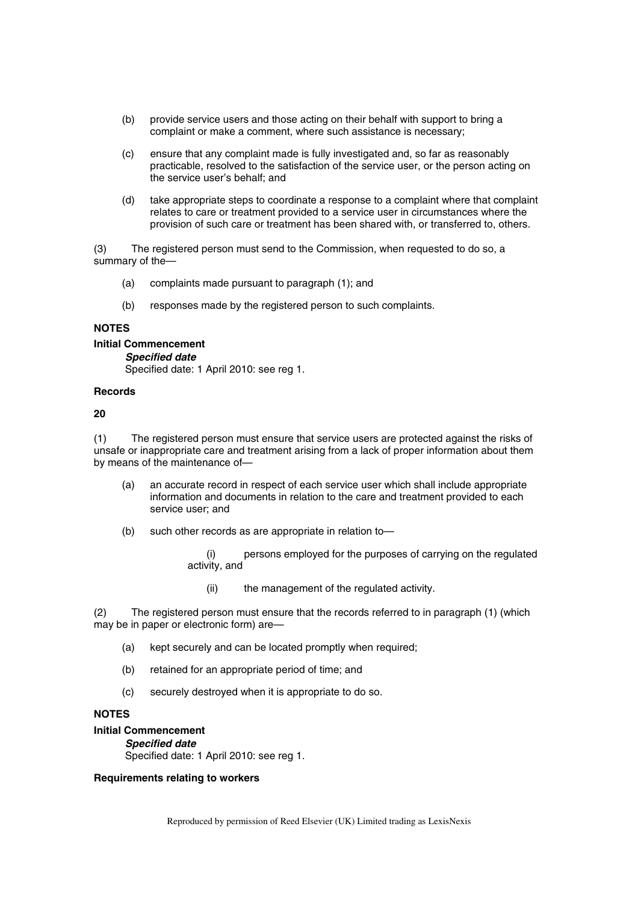- (b) provide service users and those acting on their behalf with support to bring a complaint or make a comment, where such assistance is necessary;
- (c) ensure that any complaint made is fully investigated and, so far as reasonably practicable, resolved to the satisfaction of the service user, or the person acting on the service user's behalf; and
- (d) take appropriate steps to coordinate a response to a complaint where that complaint relates to care or treatment provided to a service user in circumstances where the provision of such care or treatment has been shared with, or transferred to, others.

(3) The registered person must send to the Commission, when requested to do so, a summary of the—

- (a) complaints made pursuant to paragraph (1); and
- (b) responses made by the registered person to such complaints.

#### **NOTES**

### **Initial Commencement**

*Specified date* 

Specified date: 1 April 2010: see reg 1.

## **Records**

#### **20**

(1) The registered person must ensure that service users are protected against the risks of unsafe or inappropriate care and treatment arising from a lack of proper information about them by means of the maintenance of—

- (a) an accurate record in respect of each service user which shall include appropriate information and documents in relation to the care and treatment provided to each service user; and
- (b) such other records as are appropriate in relation to—

(i) persons employed for the purposes of carrying on the regulated activity, and

(ii) the management of the regulated activity.

(2) The registered person must ensure that the records referred to in paragraph (1) (which may be in paper or electronic form) are—

- (a) kept securely and can be located promptly when required;
- (b) retained for an appropriate period of time; and
- (c) securely destroyed when it is appropriate to do so.

### **NOTES**

## **Initial Commencement**

*Specified date*  Specified date: 1 April 2010: see reg 1.

### **Requirements relating to workers**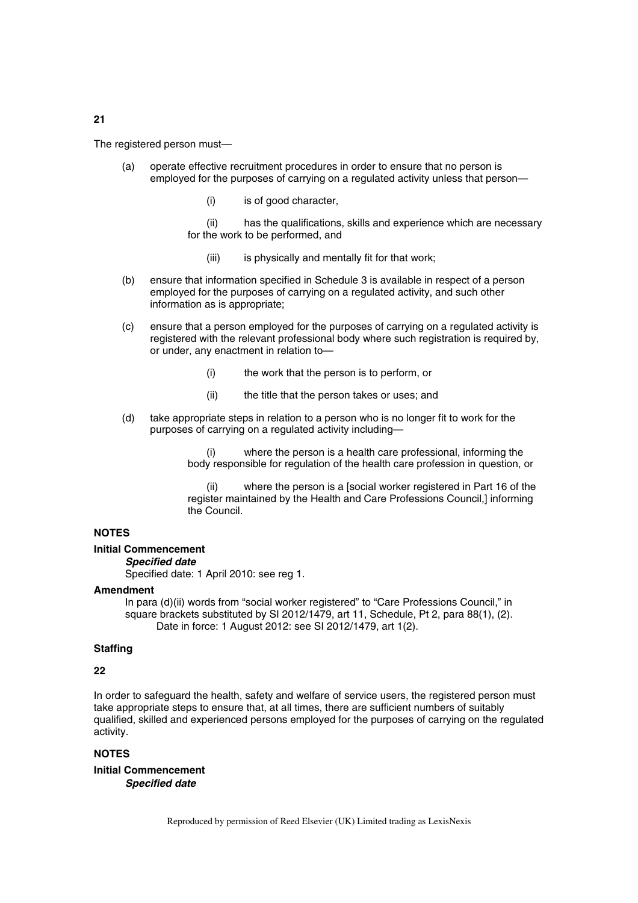The registered person must—

- (a) operate effective recruitment procedures in order to ensure that no person is employed for the purposes of carrying on a regulated activity unless that person—
	- (i) is of good character,
	- (ii) has the qualifications, skills and experience which are necessary for the work to be performed, and
		- (iii) is physically and mentally fit for that work;
- (b) ensure that information specified in Schedule 3 is available in respect of a person employed for the purposes of carrying on a regulated activity, and such other information as is appropriate;
- (c) ensure that a person employed for the purposes of carrying on a regulated activity is registered with the relevant professional body where such registration is required by, or under, any enactment in relation to—
	- (i) the work that the person is to perform, or
	- (ii) the title that the person takes or uses; and
- (d) take appropriate steps in relation to a person who is no longer fit to work for the purposes of carrying on a regulated activity including—

where the person is a health care professional, informing the body responsible for regulation of the health care profession in question, or

where the person is a [social worker registered in Part 16 of the register maintained by the Health and Care Professions Council,] informing the Council.

#### **NOTES**

#### **Initial Commencement**

*Specified date* 

Specified date: 1 April 2010: see reg 1.

#### **Amendment**

In para (d)(ii) words from "social worker registered" to "Care Professions Council," in square brackets substituted by SI 2012/1479, art 11, Schedule, Pt 2, para 88(1), (2). Date in force: 1 August 2012: see SI 2012/1479, art 1(2).

## **Staffing**

#### **22**

In order to safeguard the health, safety and welfare of service users, the registered person must take appropriate steps to ensure that, at all times, there are sufficient numbers of suitably qualified, skilled and experienced persons employed for the purposes of carrying on the regulated activity.

## **NOTES**

**Initial Commencement**  *Specified date*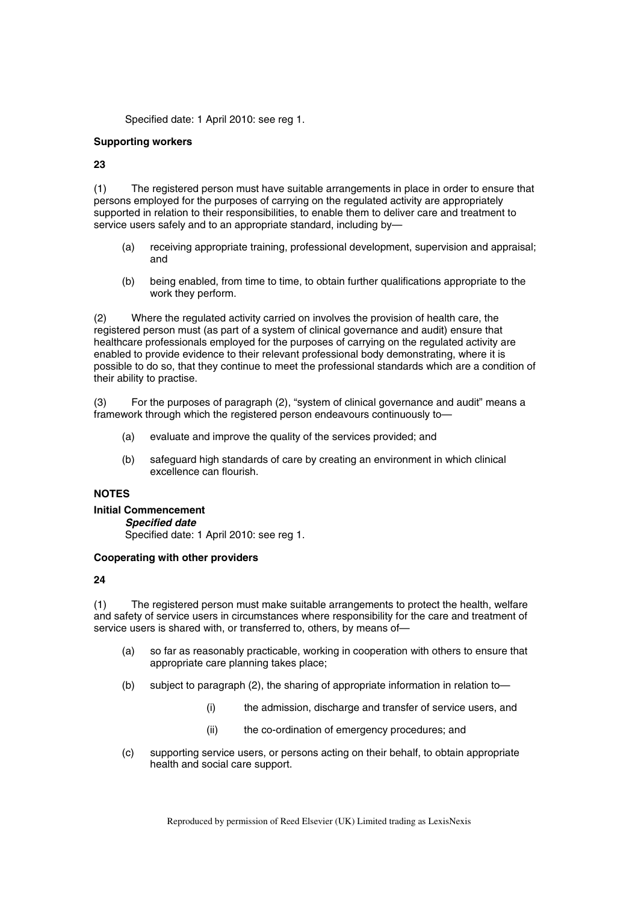Specified date: 1 April 2010: see reg 1.

#### **Supporting workers**

**23** 

(1) The registered person must have suitable arrangements in place in order to ensure that persons employed for the purposes of carrying on the regulated activity are appropriately supported in relation to their responsibilities, to enable them to deliver care and treatment to service users safely and to an appropriate standard, including by-

- (a) receiving appropriate training, professional development, supervision and appraisal; and
- (b) being enabled, from time to time, to obtain further qualifications appropriate to the work they perform.

(2) Where the regulated activity carried on involves the provision of health care, the registered person must (as part of a system of clinical governance and audit) ensure that healthcare professionals employed for the purposes of carrying on the regulated activity are enabled to provide evidence to their relevant professional body demonstrating, where it is possible to do so, that they continue to meet the professional standards which are a condition of their ability to practise.

(3) For the purposes of paragraph (2), "system of clinical governance and audit" means a framework through which the registered person endeavours continuously to—

- (a) evaluate and improve the quality of the services provided; and
- (b) safeguard high standards of care by creating an environment in which clinical excellence can flourish.

### **NOTES**

### **Initial Commencement**

*Specified date* 

Specified date: 1 April 2010: see reg 1.

### **Cooperating with other providers**

**24** 

(1) The registered person must make suitable arrangements to protect the health, welfare and safety of service users in circumstances where responsibility for the care and treatment of service users is shared with, or transferred to, others, by means of—

- (a) so far as reasonably practicable, working in cooperation with others to ensure that appropriate care planning takes place;
- (b) subject to paragraph (2), the sharing of appropriate information in relation to—
	- (i) the admission, discharge and transfer of service users, and
	- (ii) the co-ordination of emergency procedures; and
- (c) supporting service users, or persons acting on their behalf, to obtain appropriate health and social care support.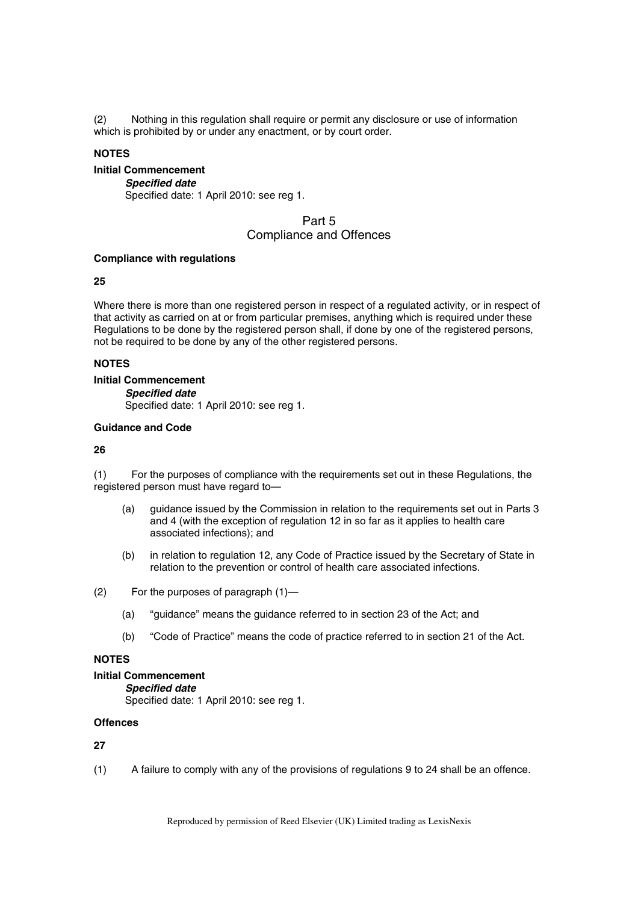(2) Nothing in this regulation shall require or permit any disclosure or use of information which is prohibited by or under any enactment, or by court order.

### **NOTES**

## **Initial Commencement**

*Specified date*  Specified date: 1 April 2010: see reg 1.

## Part 5 Compliance and Offences

### **Compliance with regulations**

### **25**

Where there is more than one registered person in respect of a regulated activity, or in respect of that activity as carried on at or from particular premises, anything which is required under these Regulations to be done by the registered person shall, if done by one of the registered persons, not be required to be done by any of the other registered persons.

### **NOTES**

### **Initial Commencement**

*Specified date* 

Specified date: 1 April 2010: see reg 1.

## **Guidance and Code**

### **26**

(1) For the purposes of compliance with the requirements set out in these Regulations, the registered person must have regard to—

- (a) guidance issued by the Commission in relation to the requirements set out in Parts 3 and 4 (with the exception of regulation 12 in so far as it applies to health care associated infections); and
- (b) in relation to regulation 12, any Code of Practice issued by the Secretary of State in relation to the prevention or control of health care associated infections.
- (2) For the purposes of paragraph (1)—
	- (a) "guidance" means the guidance referred to in section 23 of the Act; and
	- (b) "Code of Practice" means the code of practice referred to in section 21 of the Act.

## **NOTES**

## **Initial Commencement**

*Specified date*  Specified date: 1 April 2010: see reg 1.

### **Offences**

## **27**

(1) A failure to comply with any of the provisions of regulations 9 to 24 shall be an offence.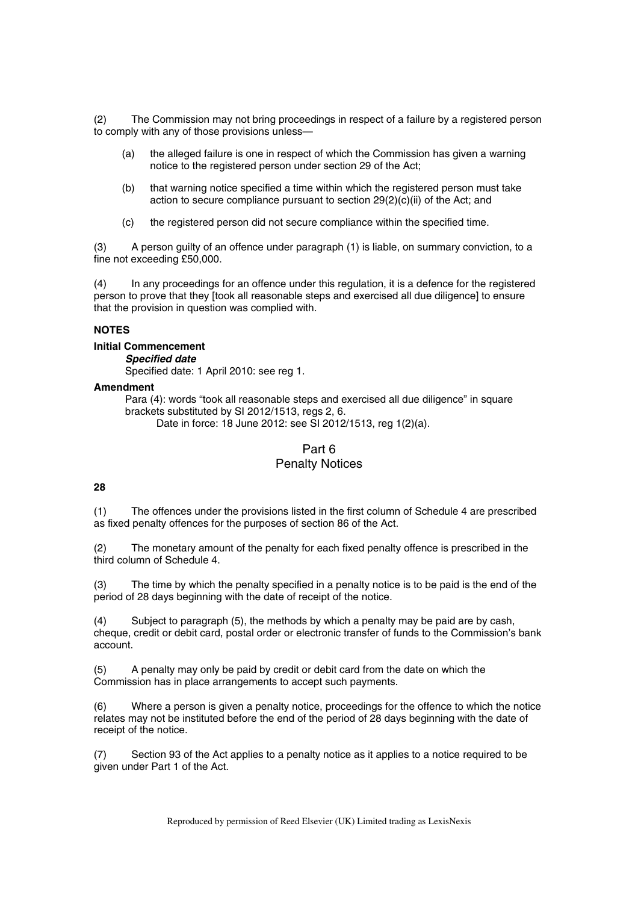(2) The Commission may not bring proceedings in respect of a failure by a registered person to comply with any of those provisions unless—

- (a) the alleged failure is one in respect of which the Commission has given a warning notice to the registered person under section 29 of the Act;
- (b) that warning notice specified a time within which the registered person must take action to secure compliance pursuant to section 29(2)(c)(ii) of the Act; and
- (c) the registered person did not secure compliance within the specified time.

(3) A person guilty of an offence under paragraph (1) is liable, on summary conviction, to a fine not exceeding £50,000.

(4) In any proceedings for an offence under this regulation, it is a defence for the registered person to prove that they [took all reasonable steps and exercised all due diligence] to ensure that the provision in question was complied with.

### **NOTES**

#### **Initial Commencement**

*Specified date* 

Specified date: 1 April 2010: see reg 1.

#### **Amendment**

Para (4): words "took all reasonable steps and exercised all due diligence" in square brackets substituted by SI 2012/1513, regs 2, 6.

Date in force: 18 June 2012: see SI 2012/1513, reg 1(2)(a).

## Part 6 Penalty Notices

## **28**

(1) The offences under the provisions listed in the first column of Schedule 4 are prescribed as fixed penalty offences for the purposes of section 86 of the Act.

(2) The monetary amount of the penalty for each fixed penalty offence is prescribed in the third column of Schedule 4.

(3) The time by which the penalty specified in a penalty notice is to be paid is the end of the period of 28 days beginning with the date of receipt of the notice.

(4) Subject to paragraph (5), the methods by which a penalty may be paid are by cash, cheque, credit or debit card, postal order or electronic transfer of funds to the Commission's bank account.

(5) A penalty may only be paid by credit or debit card from the date on which the Commission has in place arrangements to accept such payments.

(6) Where a person is given a penalty notice, proceedings for the offence to which the notice relates may not be instituted before the end of the period of 28 days beginning with the date of receipt of the notice.

(7) Section 93 of the Act applies to a penalty notice as it applies to a notice required to be given under Part 1 of the Act.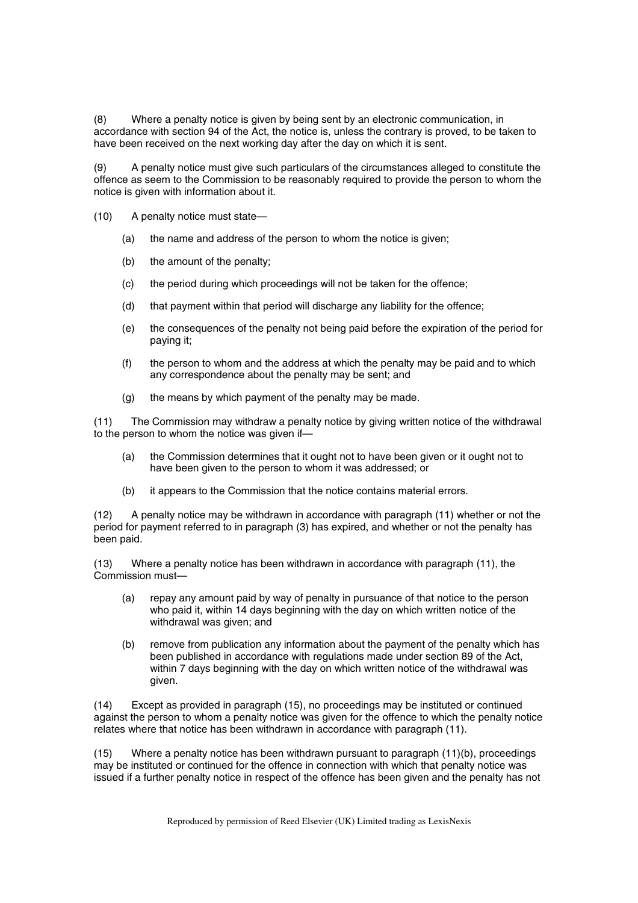(8) Where a penalty notice is given by being sent by an electronic communication, in accordance with section 94 of the Act, the notice is, unless the contrary is proved, to be taken to have been received on the next working day after the day on which it is sent.

(9) A penalty notice must give such particulars of the circumstances alleged to constitute the offence as seem to the Commission to be reasonably required to provide the person to whom the notice is given with information about it.

- (10) A penalty notice must state—
	- (a) the name and address of the person to whom the notice is given;
	- (b) the amount of the penalty;
	- (c) the period during which proceedings will not be taken for the offence;
	- (d) that payment within that period will discharge any liability for the offence;
	- (e) the consequences of the penalty not being paid before the expiration of the period for paying it;
	- (f) the person to whom and the address at which the penalty may be paid and to which any correspondence about the penalty may be sent; and
	- (g) the means by which payment of the penalty may be made.

(11) The Commission may withdraw a penalty notice by giving written notice of the withdrawal to the person to whom the notice was given if—

- (a) the Commission determines that it ought not to have been given or it ought not to have been given to the person to whom it was addressed; or
- (b) it appears to the Commission that the notice contains material errors.

(12) A penalty notice may be withdrawn in accordance with paragraph (11) whether or not the period for payment referred to in paragraph (3) has expired, and whether or not the penalty has been paid.

(13) Where a penalty notice has been withdrawn in accordance with paragraph (11), the Commission must—

- (a) repay any amount paid by way of penalty in pursuance of that notice to the person who paid it, within 14 days beginning with the day on which written notice of the withdrawal was given; and
- (b) remove from publication any information about the payment of the penalty which has been published in accordance with regulations made under section 89 of the Act, within 7 days beginning with the day on which written notice of the withdrawal was given.

(14) Except as provided in paragraph (15), no proceedings may be instituted or continued against the person to whom a penalty notice was given for the offence to which the penalty notice relates where that notice has been withdrawn in accordance with paragraph (11).

(15) Where a penalty notice has been withdrawn pursuant to paragraph (11)(b), proceedings may be instituted or continued for the offence in connection with which that penalty notice was issued if a further penalty notice in respect of the offence has been given and the penalty has not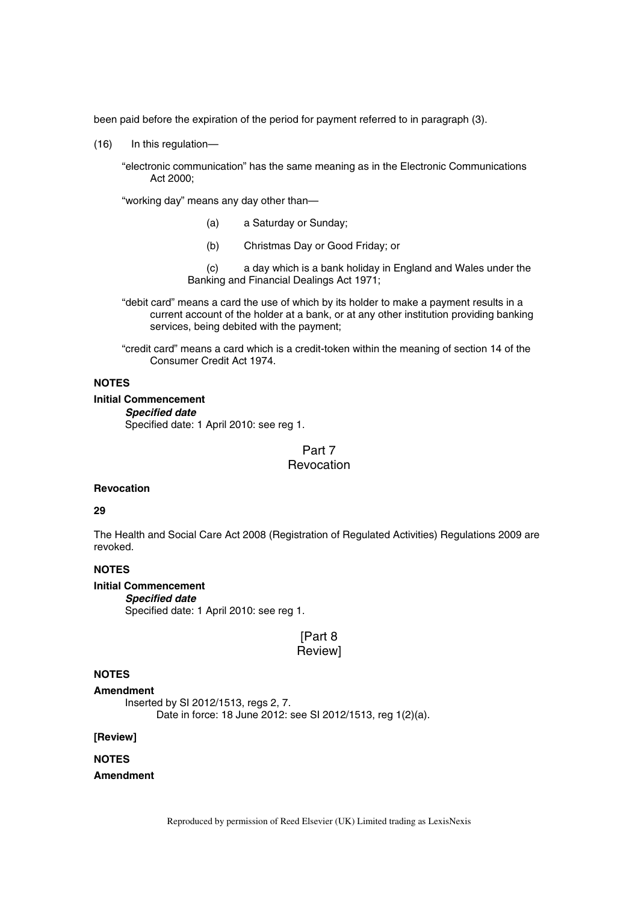been paid before the expiration of the period for payment referred to in paragraph (3).

(16) In this regulation—

"electronic communication" has the same meaning as in the Electronic Communications Act 2000;

"working day" means any day other than—

- (a) a Saturday or Sunday;
- (b) Christmas Day or Good Friday; or

(c) a day which is a bank holiday in England and Wales under the Banking and Financial Dealings Act 1971;

"debit card" means a card the use of which by its holder to make a payment results in a current account of the holder at a bank, or at any other institution providing banking services, being debited with the payment;

"credit card" means a card which is a credit-token within the meaning of section 14 of the Consumer Credit Act 1974.

## **NOTES**

#### **Initial Commencement**

*Specified date* 

Specified date: 1 April 2010: see reg 1.

## Part 7 Revocation

#### **Revocation**

### **29**

The Health and Social Care Act 2008 (Registration of Regulated Activities) Regulations 2009 are revoked.

## **NOTES**

## **Initial Commencement**

*Specified date*  Specified date: 1 April 2010: see reg 1.

## [Part 8] Review]

#### **NOTES**

#### **Amendment**

Inserted by SI 2012/1513, regs 2, 7. Date in force: 18 June 2012: see SI 2012/1513, reg 1(2)(a).

#### **[Review]**

### **NOTES**

### **Amendment**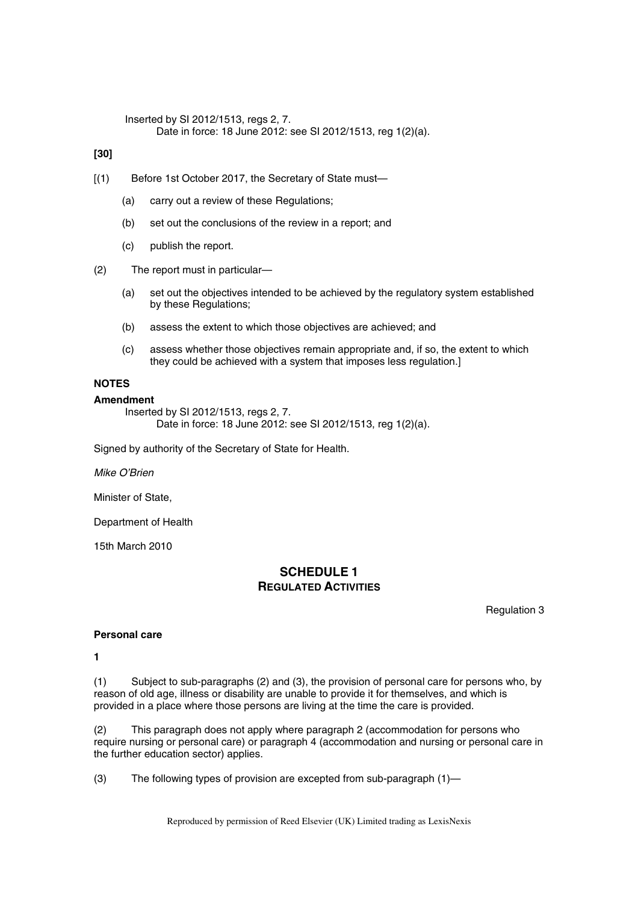Inserted by SI 2012/1513, regs 2, 7. Date in force: 18 June 2012: see SI 2012/1513, reg 1(2)(a).

**[30]** 

- [(1) Before 1st October 2017, the Secretary of State must-
	- (a) carry out a review of these Regulations;
	- (b) set out the conclusions of the review in a report; and
	- (c) publish the report.
- (2) The report must in particular—
	- (a) set out the objectives intended to be achieved by the regulatory system established by these Regulations;
	- (b) assess the extent to which those objectives are achieved; and
	- (c) assess whether those objectives remain appropriate and, if so, the extent to which they could be achieved with a system that imposes less regulation.]

## **NOTES**

#### **Amendment**

Inserted by SI 2012/1513, regs 2, 7. Date in force: 18 June 2012: see SI 2012/1513, reg 1(2)(a).

Signed by authority of the Secretary of State for Health.

*Mike O'Brien*

Minister of State,

Department of Health

15th March 2010

## **SCHEDULE 1 REGULATED ACTIVITIES**

Regulation 3

#### **Personal care**

**1** 

(1) Subject to sub-paragraphs (2) and (3), the provision of personal care for persons who, by reason of old age, illness or disability are unable to provide it for themselves, and which is provided in a place where those persons are living at the time the care is provided.

(2) This paragraph does not apply where paragraph 2 (accommodation for persons who require nursing or personal care) or paragraph 4 (accommodation and nursing or personal care in the further education sector) applies.

(3) The following types of provision are excepted from sub-paragraph (1)—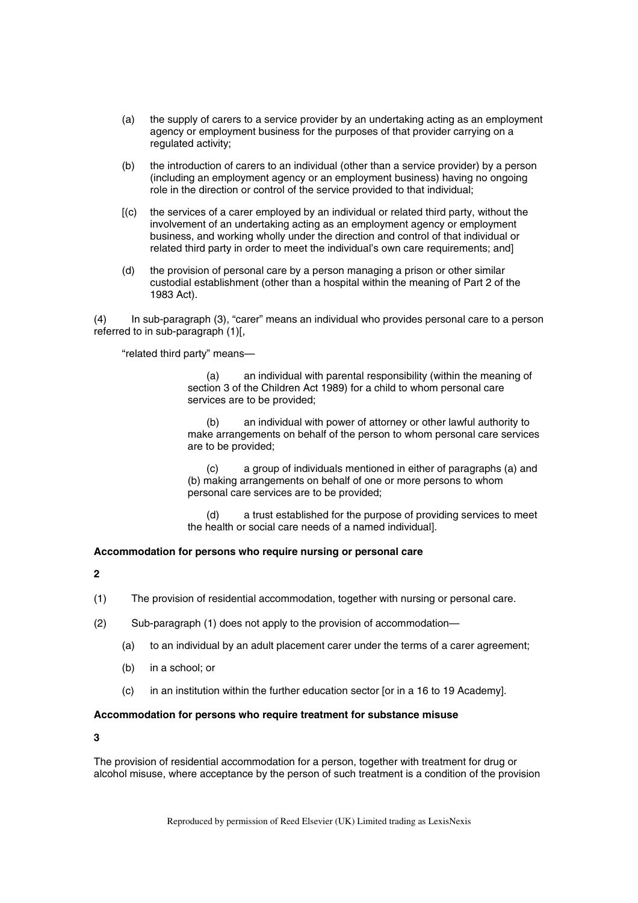- (a) the supply of carers to a service provider by an undertaking acting as an employment agency or employment business for the purposes of that provider carrying on a regulated activity;
- (b) the introduction of carers to an individual (other than a service provider) by a person (including an employment agency or an employment business) having no ongoing role in the direction or control of the service provided to that individual;
- [(c) the services of a carer employed by an individual or related third party, without the involvement of an undertaking acting as an employment agency or employment business, and working wholly under the direction and control of that individual or related third party in order to meet the individual's own care requirements; and]
- (d) the provision of personal care by a person managing a prison or other similar custodial establishment (other than a hospital within the meaning of Part 2 of the 1983 Act).

(4) In sub-paragraph (3), "carer" means an individual who provides personal care to a person referred to in sub-paragraph (1)[,

"related third party" means—

(a) an individual with parental responsibility (within the meaning of section 3 of the Children Act 1989) for a child to whom personal care services are to be provided;

(b) an individual with power of attorney or other lawful authority to make arrangements on behalf of the person to whom personal care services are to be provided;

(c) a group of individuals mentioned in either of paragraphs (a) and (b) making arrangements on behalf of one or more persons to whom personal care services are to be provided;

(d) a trust established for the purpose of providing services to meet the health or social care needs of a named individual].

## **Accommodation for persons who require nursing or personal care**

**2** 

- (1) The provision of residential accommodation, together with nursing or personal care.
- (2) Sub-paragraph (1) does not apply to the provision of accommodation—
	- (a) to an individual by an adult placement carer under the terms of a carer agreement;
	- (b) in a school; or
	- (c) in an institution within the further education sector [or in a 16 to 19 Academy].

## **Accommodation for persons who require treatment for substance misuse**

**3** 

The provision of residential accommodation for a person, together with treatment for drug or alcohol misuse, where acceptance by the person of such treatment is a condition of the provision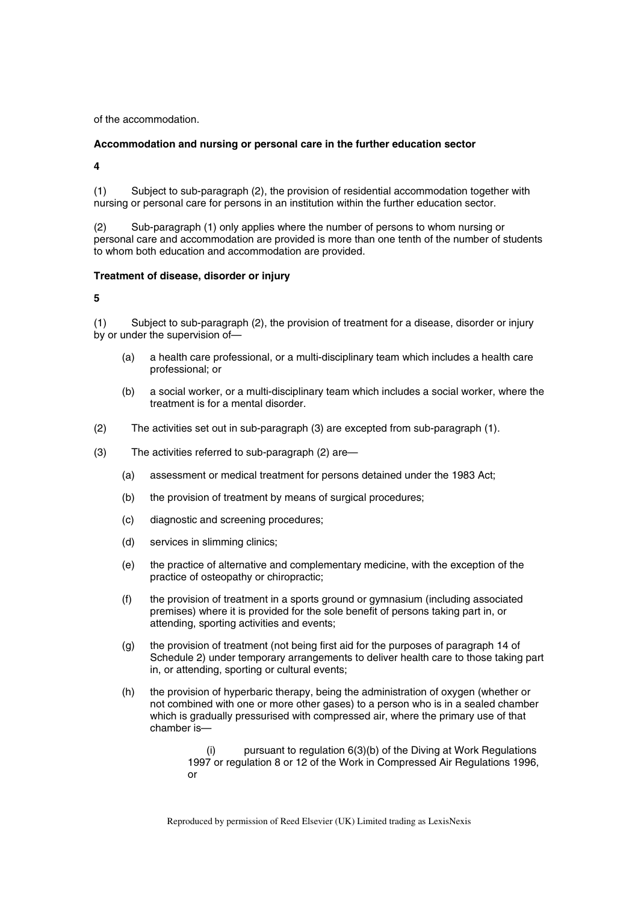of the accommodation.

## **Accommodation and nursing or personal care in the further education sector**

**4** 

(1) Subject to sub-paragraph (2), the provision of residential accommodation together with nursing or personal care for persons in an institution within the further education sector.

(2) Sub-paragraph (1) only applies where the number of persons to whom nursing or personal care and accommodation are provided is more than one tenth of the number of students to whom both education and accommodation are provided.

## **Treatment of disease, disorder or injury**

**5** 

(1) Subject to sub-paragraph (2), the provision of treatment for a disease, disorder or injury by or under the supervision of—

- (a) a health care professional, or a multi-disciplinary team which includes a health care professional; or
- (b) a social worker, or a multi-disciplinary team which includes a social worker, where the treatment is for a mental disorder.
- (2) The activities set out in sub-paragraph (3) are excepted from sub-paragraph (1).
- (3) The activities referred to sub-paragraph (2) are—
	- (a) assessment or medical treatment for persons detained under the 1983 Act;
	- (b) the provision of treatment by means of surgical procedures;
	- (c) diagnostic and screening procedures;
	- (d) services in slimming clinics;
	- (e) the practice of alternative and complementary medicine, with the exception of the practice of osteopathy or chiropractic;
	- (f) the provision of treatment in a sports ground or gymnasium (including associated premises) where it is provided for the sole benefit of persons taking part in, or attending, sporting activities and events;
	- (g) the provision of treatment (not being first aid for the purposes of paragraph 14 of Schedule 2) under temporary arrangements to deliver health care to those taking part in, or attending, sporting or cultural events;
	- (h) the provision of hyperbaric therapy, being the administration of oxygen (whether or not combined with one or more other gases) to a person who is in a sealed chamber which is gradually pressurised with compressed air, where the primary use of that chamber is—

(i) pursuant to regulation 6(3)(b) of the Diving at Work Regulations 1997 or regulation 8 or 12 of the Work in Compressed Air Regulations 1996, or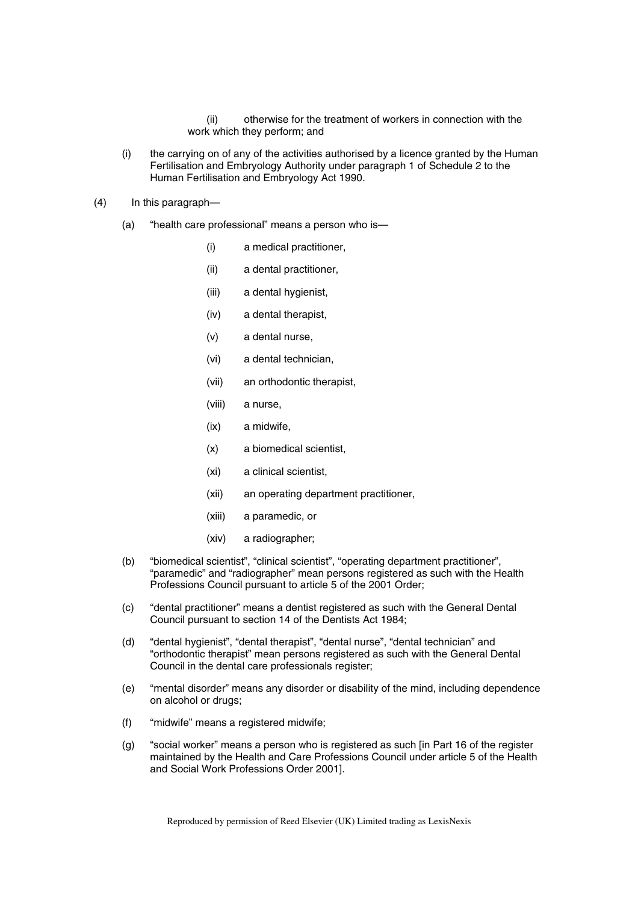(ii) otherwise for the treatment of workers in connection with the work which they perform; and

- (i) the carrying on of any of the activities authorised by a licence granted by the Human Fertilisation and Embryology Authority under paragraph 1 of Schedule 2 to the Human Fertilisation and Embryology Act 1990.
- (4) In this paragraph—
	- (a) "health care professional" means a person who is—
		- (i) a medical practitioner,
		- (ii) a dental practitioner,
		- (iii) a dental hygienist,
		- (iv) a dental therapist,
		- (v) a dental nurse,
		- (vi) a dental technician,
		- (vii) an orthodontic therapist,
		- (viii) a nurse,
		- (ix) a midwife,
		- (x) a biomedical scientist,
		- (xi) a clinical scientist,
		- (xii) an operating department practitioner,
		- (xiii) a paramedic, or
		- (xiv) a radiographer;
	- (b) "biomedical scientist", "clinical scientist", "operating department practitioner", "paramedic" and "radiographer" mean persons registered as such with the Health Professions Council pursuant to article 5 of the 2001 Order;
	- (c) "dental practitioner" means a dentist registered as such with the General Dental Council pursuant to section 14 of the Dentists Act 1984;
	- (d) "dental hygienist", "dental therapist", "dental nurse", "dental technician" and "orthodontic therapist" mean persons registered as such with the General Dental Council in the dental care professionals register;
	- (e) "mental disorder" means any disorder or disability of the mind, including dependence on alcohol or drugs;
	- (f) "midwife" means a registered midwife;
	- (g) "social worker" means a person who is registered as such [in Part 16 of the register maintained by the Health and Care Professions Council under article 5 of the Health and Social Work Professions Order 2001].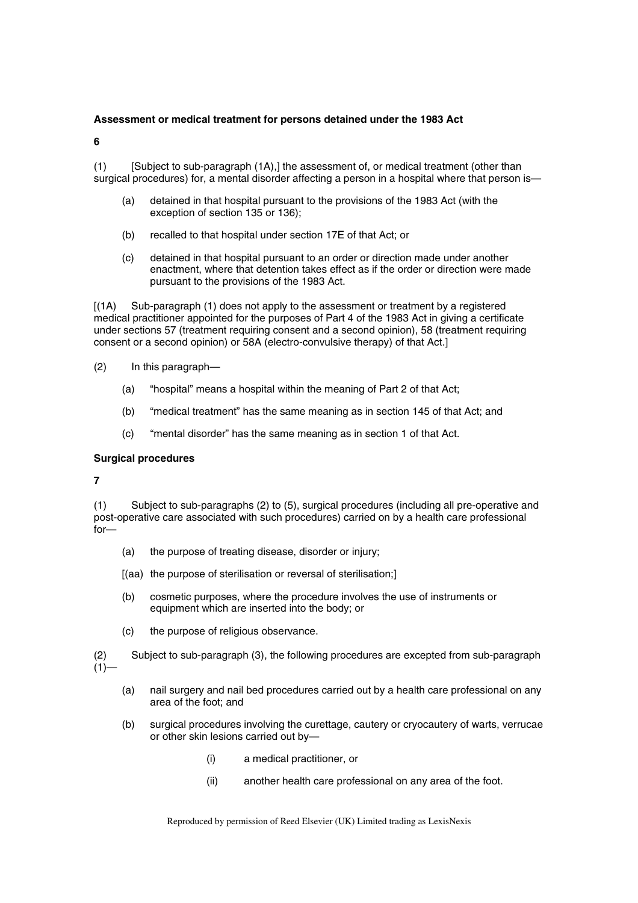#### **Assessment or medical treatment for persons detained under the 1983 Act**

**6** 

(1) [Subject to sub-paragraph (1A),] the assessment of, or medical treatment (other than surgical procedures) for, a mental disorder affecting a person in a hospital where that person is—

- (a) detained in that hospital pursuant to the provisions of the 1983 Act (with the exception of section 135 or 136);
- (b) recalled to that hospital under section 17E of that Act; or
- (c) detained in that hospital pursuant to an order or direction made under another enactment, where that detention takes effect as if the order or direction were made pursuant to the provisions of the 1983 Act.

[(1A) Sub-paragraph (1) does not apply to the assessment or treatment by a registered medical practitioner appointed for the purposes of Part 4 of the 1983 Act in giving a certificate under sections 57 (treatment requiring consent and a second opinion), 58 (treatment requiring consent or a second opinion) or 58A (electro-convulsive therapy) of that Act.]

- (2) In this paragraph—
	- (a) "hospital" means a hospital within the meaning of Part 2 of that Act;
	- (b) "medical treatment" has the same meaning as in section 145 of that Act; and
	- (c) "mental disorder" has the same meaning as in section 1 of that Act.

### **Surgical procedures**

**7** 

(1) Subject to sub-paragraphs (2) to (5), surgical procedures (including all pre-operative and post-operative care associated with such procedures) carried on by a health care professional for—

- (a) the purpose of treating disease, disorder or injury;
- [(aa) the purpose of sterilisation or reversal of sterilisation;]
- (b) cosmetic purposes, where the procedure involves the use of instruments or equipment which are inserted into the body; or
- (c) the purpose of religious observance.

(2) Subject to sub-paragraph (3), the following procedures are excepted from sub-paragraph  $(1)$ —

- (a) nail surgery and nail bed procedures carried out by a health care professional on any area of the foot; and
- (b) surgical procedures involving the curettage, cautery or cryocautery of warts, verrucae or other skin lesions carried out by—
	- (i) a medical practitioner, or
	- (ii) another health care professional on any area of the foot.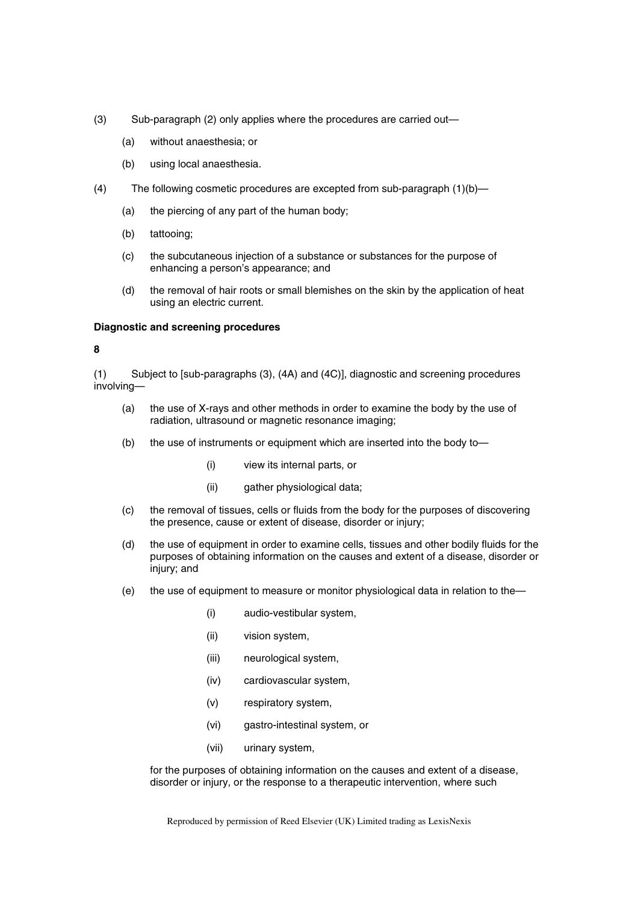- (3) Sub-paragraph (2) only applies where the procedures are carried out—
	- (a) without anaesthesia; or
	- (b) using local anaesthesia.
- (4) The following cosmetic procedures are excepted from sub-paragraph (1)(b)—
	- (a) the piercing of any part of the human body;
	- (b) tattooing;
	- (c) the subcutaneous injection of a substance or substances for the purpose of enhancing a person's appearance; and
	- (d) the removal of hair roots or small blemishes on the skin by the application of heat using an electric current.

#### **Diagnostic and screening procedures**

#### **8**

(1) Subject to [sub-paragraphs (3), (4A) and (4C)], diagnostic and screening procedures involving—

- (a) the use of X-rays and other methods in order to examine the body by the use of radiation, ultrasound or magnetic resonance imaging;
- (b) the use of instruments or equipment which are inserted into the body to—
	- (i) view its internal parts, or
	- (ii) gather physiological data;
- (c) the removal of tissues, cells or fluids from the body for the purposes of discovering the presence, cause or extent of disease, disorder or injury;
- (d) the use of equipment in order to examine cells, tissues and other bodily fluids for the purposes of obtaining information on the causes and extent of a disease, disorder or injury; and
- (e) the use of equipment to measure or monitor physiological data in relation to the—
	- (i) audio-vestibular system,
	- (ii) vision system,
	- (iii) neurological system,
	- (iv) cardiovascular system,
	- (v) respiratory system,
	- (vi) gastro-intestinal system, or
	- (vii) urinary system,

for the purposes of obtaining information on the causes and extent of a disease, disorder or injury, or the response to a therapeutic intervention, where such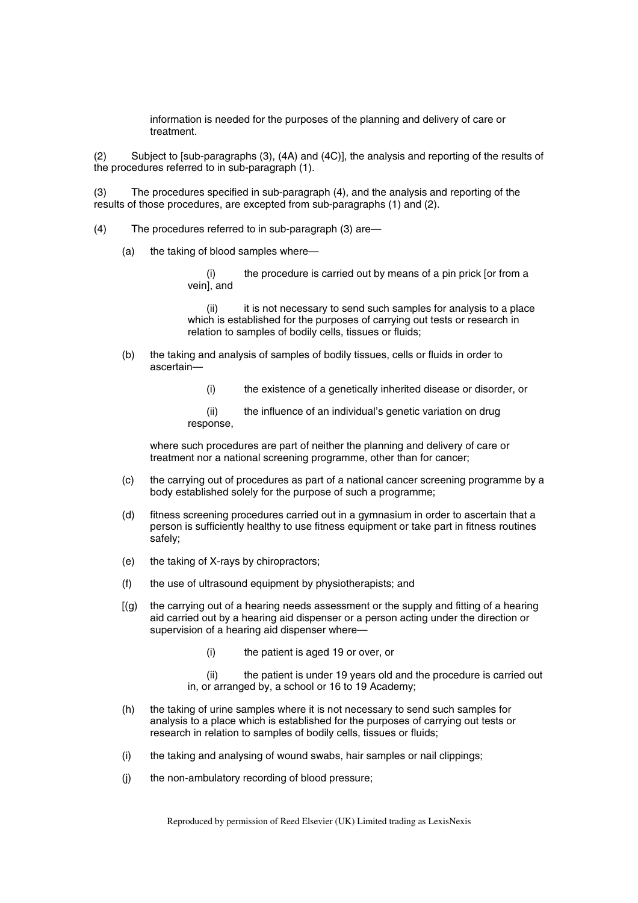information is needed for the purposes of the planning and delivery of care or treatment.

(2) Subject to [sub-paragraphs (3), (4A) and (4C)], the analysis and reporting of the results of the procedures referred to in sub-paragraph (1).

(3) The procedures specified in sub-paragraph (4), and the analysis and reporting of the results of those procedures, are excepted from sub-paragraphs (1) and (2).

- (4) The procedures referred to in sub-paragraph (3) are—
	- (a) the taking of blood samples where—

(i) the procedure is carried out by means of a pin prick [or from a vein], and

(ii) it is not necessary to send such samples for analysis to a place which is established for the purposes of carrying out tests or research in relation to samples of bodily cells, tissues or fluids;

- (b) the taking and analysis of samples of bodily tissues, cells or fluids in order to ascertain—
	- (i) the existence of a genetically inherited disease or disorder, or

(ii) the influence of an individual's genetic variation on drug response,

where such procedures are part of neither the planning and delivery of care or treatment nor a national screening programme, other than for cancer;

- (c) the carrying out of procedures as part of a national cancer screening programme by a body established solely for the purpose of such a programme;
- (d) fitness screening procedures carried out in a gymnasium in order to ascertain that a person is sufficiently healthy to use fitness equipment or take part in fitness routines safely;
- (e) the taking of X-rays by chiropractors;
- (f) the use of ultrasound equipment by physiotherapists; and
- $[(q)$  the carrying out of a hearing needs assessment or the supply and fitting of a hearing aid carried out by a hearing aid dispenser or a person acting under the direction or supervision of a hearing aid dispenser where—
	- (i) the patient is aged 19 or over, or
	- (ii) the patient is under 19 years old and the procedure is carried out in, or arranged by, a school or 16 to 19 Academy;
- (h) the taking of urine samples where it is not necessary to send such samples for analysis to a place which is established for the purposes of carrying out tests or research in relation to samples of bodily cells, tissues or fluids;
- (i) the taking and analysing of wound swabs, hair samples or nail clippings;
- (j) the non-ambulatory recording of blood pressure;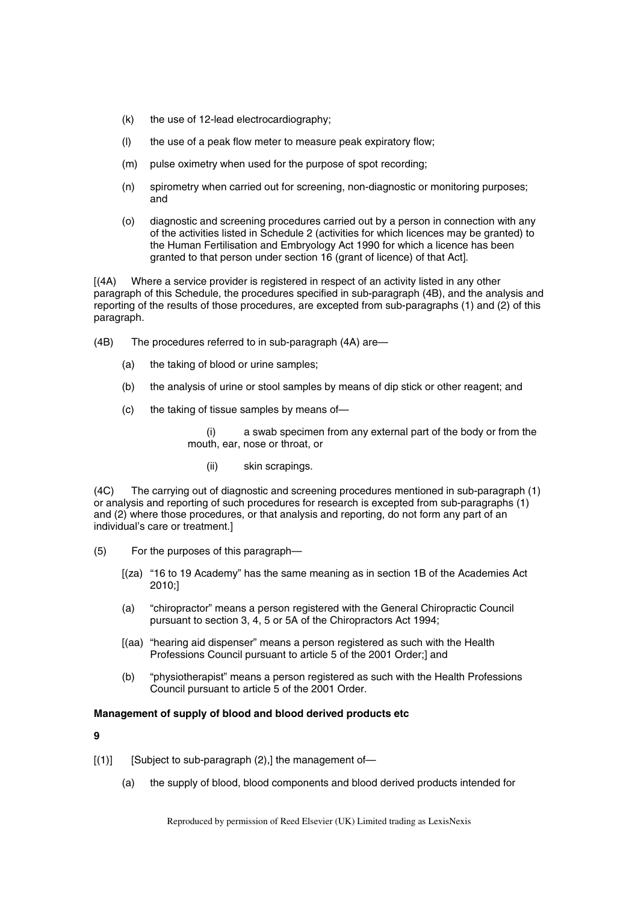- (k) the use of 12-lead electrocardiography;
- (l) the use of a peak flow meter to measure peak expiratory flow;
- (m) pulse oximetry when used for the purpose of spot recording;
- (n) spirometry when carried out for screening, non-diagnostic or monitoring purposes; and
- (o) diagnostic and screening procedures carried out by a person in connection with any of the activities listed in Schedule 2 (activities for which licences may be granted) to the Human Fertilisation and Embryology Act 1990 for which a licence has been granted to that person under section 16 (grant of licence) of that Act].

[(4A) Where a service provider is registered in respect of an activity listed in any other paragraph of this Schedule, the procedures specified in sub-paragraph (4B), and the analysis and reporting of the results of those procedures, are excepted from sub-paragraphs (1) and (2) of this paragraph.

- (4B) The procedures referred to in sub-paragraph (4A) are—
	- (a) the taking of blood or urine samples;
	- (b) the analysis of urine or stool samples by means of dip stick or other reagent; and
	- (c) the taking of tissue samples by means of—

a swab specimen from any external part of the body or from the mouth, ear, nose or throat, or

(ii) skin scrapings.

(4C) The carrying out of diagnostic and screening procedures mentioned in sub-paragraph (1) or analysis and reporting of such procedures for research is excepted from sub-paragraphs (1) and (2) where those procedures, or that analysis and reporting, do not form any part of an individual's care or treatment.]

- (5) For the purposes of this paragraph—
	- [(za) "16 to 19 Academy" has the same meaning as in section 1B of the Academies Act 2010;]
	- (a) "chiropractor" means a person registered with the General Chiropractic Council pursuant to section 3, 4, 5 or 5A of the Chiropractors Act 1994;
	- [(aa) "hearing aid dispenser" means a person registered as such with the Health Professions Council pursuant to article 5 of the 2001 Order;] and
	- (b) "physiotherapist" means a person registered as such with the Health Professions Council pursuant to article 5 of the 2001 Order.

### **Management of supply of blood and blood derived products etc**

**9** 

- $[(1)]$  [Subject to sub-paragraph  $(2)$ ,] the management of-
	- (a) the supply of blood, blood components and blood derived products intended for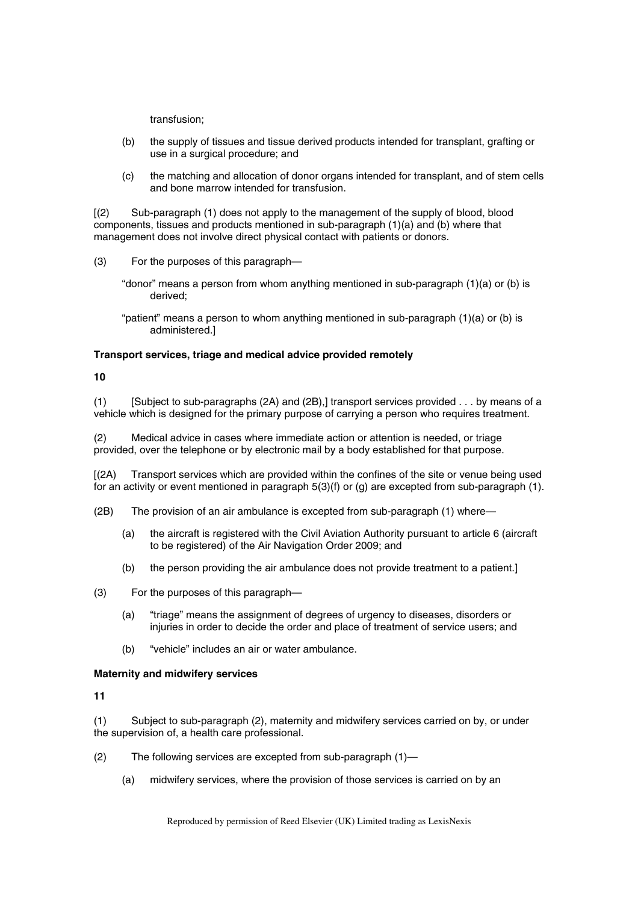transfusion;

- (b) the supply of tissues and tissue derived products intended for transplant, grafting or use in a surgical procedure; and
- (c) the matching and allocation of donor organs intended for transplant, and of stem cells and bone marrow intended for transfusion.

[(2) Sub-paragraph (1) does not apply to the management of the supply of blood, blood components, tissues and products mentioned in sub-paragraph (1)(a) and (b) where that management does not involve direct physical contact with patients or donors.

- (3) For the purposes of this paragraph—
	- "donor" means a person from whom anything mentioned in sub-paragraph (1)(a) or (b) is derived;
	- "patient" means a person to whom anything mentioned in sub-paragraph (1)(a) or (b) is administered.]

#### **Transport services, triage and medical advice provided remotely**

#### **10**

(1) [Subject to sub-paragraphs (2A) and (2B),] transport services provided . . . by means of a vehicle which is designed for the primary purpose of carrying a person who requires treatment.

(2) Medical advice in cases where immediate action or attention is needed, or triage provided, over the telephone or by electronic mail by a body established for that purpose.

[(2A) Transport services which are provided within the confines of the site or venue being used for an activity or event mentioned in paragraph 5(3)(f) or (g) are excepted from sub-paragraph (1).

- (2B) The provision of an air ambulance is excepted from sub-paragraph (1) where—
	- (a) the aircraft is registered with the Civil Aviation Authority pursuant to article 6 (aircraft to be registered) of the Air Navigation Order 2009; and
	- (b) the person providing the air ambulance does not provide treatment to a patient.]

(3) For the purposes of this paragraph—

- (a) "triage" means the assignment of degrees of urgency to diseases, disorders or injuries in order to decide the order and place of treatment of service users; and
- (b) "vehicle" includes an air or water ambulance.

#### **Maternity and midwifery services**

**11** 

(1) Subject to sub-paragraph (2), maternity and midwifery services carried on by, or under the supervision of, a health care professional.

- (2) The following services are excepted from sub-paragraph (1)—
	- (a) midwifery services, where the provision of those services is carried on by an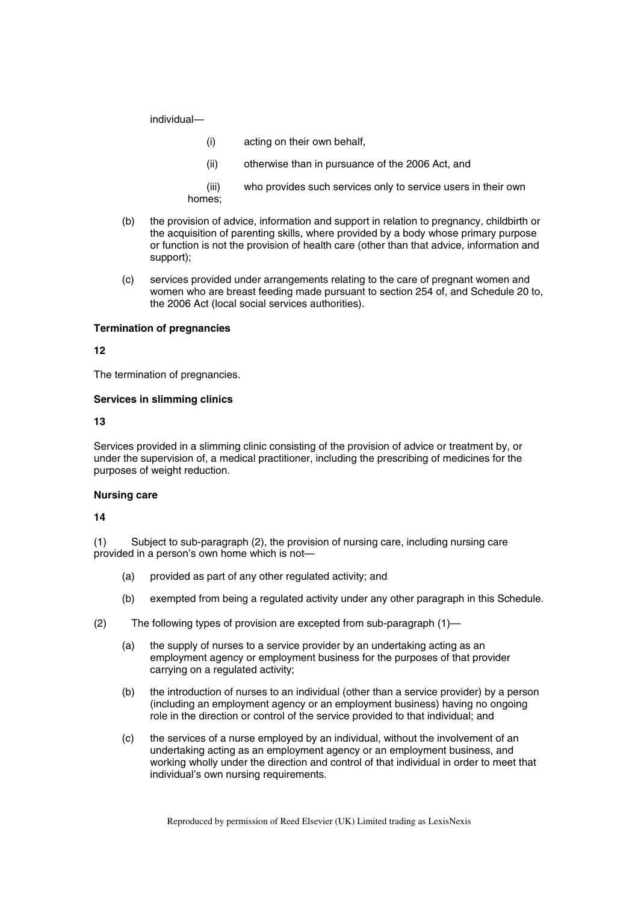individual—

- (i) acting on their own behalf,
- (ii) otherwise than in pursuance of the 2006 Act, and
- (iii) who provides such services only to service users in their own homes;
- (b) the provision of advice, information and support in relation to pregnancy, childbirth or the acquisition of parenting skills, where provided by a body whose primary purpose or function is not the provision of health care (other than that advice, information and support);
- (c) services provided under arrangements relating to the care of pregnant women and women who are breast feeding made pursuant to section 254 of, and Schedule 20 to, the 2006 Act (local social services authorities).

### **Termination of pregnancies**

**12** 

The termination of pregnancies.

### **Services in slimming clinics**

**13** 

Services provided in a slimming clinic consisting of the provision of advice or treatment by, or under the supervision of, a medical practitioner, including the prescribing of medicines for the purposes of weight reduction.

### **Nursing care**

**14** 

(1) Subject to sub-paragraph (2), the provision of nursing care, including nursing care provided in a person's own home which is not—

- (a) provided as part of any other regulated activity; and
- (b) exempted from being a regulated activity under any other paragraph in this Schedule.
- (2) The following types of provision are excepted from sub-paragraph (1)—
	- (a) the supply of nurses to a service provider by an undertaking acting as an employment agency or employment business for the purposes of that provider carrying on a regulated activity;
	- (b) the introduction of nurses to an individual (other than a service provider) by a person (including an employment agency or an employment business) having no ongoing role in the direction or control of the service provided to that individual; and
	- (c) the services of a nurse employed by an individual, without the involvement of an undertaking acting as an employment agency or an employment business, and working wholly under the direction and control of that individual in order to meet that individual's own nursing requirements.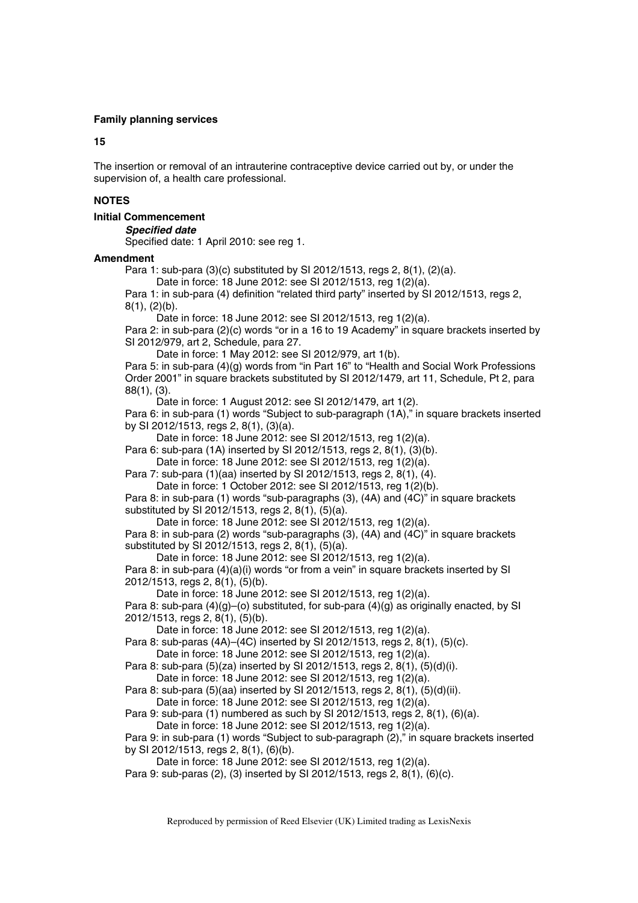#### **Family planning services**

#### **15**

The insertion or removal of an intrauterine contraceptive device carried out by, or under the supervision of, a health care professional.

### **NOTES**

### **Initial Commencement**

*Specified date* 

Specified date: 1 April 2010: see reg 1.

#### **Amendment**

Para 1: sub-para (3)(c) substituted by SI 2012/1513, regs 2, 8(1), (2)(a).

Date in force: 18 June 2012: see SI 2012/1513, reg 1(2)(a).

Para 1: in sub-para (4) definition "related third party" inserted by SI 2012/1513, regs 2, 8(1), (2)(b).

Date in force: 18 June 2012: see SI 2012/1513, reg 1(2)(a).

Para 2: in sub-para (2)(c) words "or in a 16 to 19 Academy" in square brackets inserted by SI 2012/979, art 2, Schedule, para 27.

Date in force: 1 May 2012: see SI 2012/979, art 1(b).

Para 5: in sub-para (4)(g) words from "in Part 16" to "Health and Social Work Professions Order 2001" in square brackets substituted by SI 2012/1479, art 11, Schedule, Pt 2, para 88(1), (3).

Date in force: 1 August 2012: see SI 2012/1479, art 1(2). Para 6: in sub-para (1) words "Subject to sub-paragraph (1A)," in square brackets inserted by SI 2012/1513, regs 2, 8(1), (3)(a).

Date in force: 18 June 2012: see SI 2012/1513, reg 1(2)(a).

Para 6: sub-para (1A) inserted by SI 2012/1513, regs 2, 8(1), (3)(b).

Date in force: 18 June 2012: see SI 2012/1513, reg 1(2)(a). Para 7: sub-para (1)(aa) inserted by SI 2012/1513, regs 2, 8(1), (4).

Date in force: 1 October 2012: see SI 2012/1513, reg 1(2)(b).

Para 8: in sub-para (1) words "sub-paragraphs (3), (4A) and (4C)" in square brackets substituted by SI 2012/1513, regs 2, 8(1), (5)(a).

Date in force: 18 June 2012: see SI 2012/1513, reg 1(2)(a).

Para 8: in sub-para (2) words "sub-paragraphs (3), (4A) and (4C)" in square brackets substituted by SI 2012/1513, regs 2, 8(1), (5)(a).

Date in force: 18 June 2012: see SI 2012/1513, reg 1(2)(a).

Para 8: in sub-para (4)(a)(i) words "or from a vein" in square brackets inserted by SI 2012/1513, regs 2, 8(1), (5)(b).

Date in force: 18 June 2012: see SI 2012/1513, reg 1(2)(a).

Para 8: sub-para  $(4)(g)$ –(o) substituted, for sub-para  $(4)(g)$  as originally enacted, by SI 2012/1513, regs 2, 8(1), (5)(b).

Date in force: 18 June 2012: see SI 2012/1513, reg 1(2)(a).

Para 8: sub-paras (4A)–(4C) inserted by SI 2012/1513, regs 2, 8(1), (5)(c). Date in force: 18 June 2012: see SI 2012/1513, reg 1(2)(a).

Para 8: sub-para (5)(za) inserted by SI 2012/1513, regs 2, 8(1), (5)(d)(i).

Date in force: 18 June 2012: see SI 2012/1513, reg 1(2)(a).

Para 8: sub-para (5)(aa) inserted by SI 2012/1513, regs 2, 8(1), (5)(d)(ii). Date in force: 18 June 2012: see SI 2012/1513, reg 1(2)(a).

Para 9: sub-para (1) numbered as such by SI 2012/1513, regs 2, 8(1), (6)(a).

Date in force: 18 June 2012: see SI 2012/1513, reg 1(2)(a).

Para 9: in sub-para (1) words "Subject to sub-paragraph (2)," in square brackets inserted by SI 2012/1513, regs 2, 8(1), (6)(b).

Date in force: 18 June 2012: see SI 2012/1513, reg 1(2)(a).

Para 9: sub-paras (2), (3) inserted by SI 2012/1513, regs 2, 8(1), (6)(c).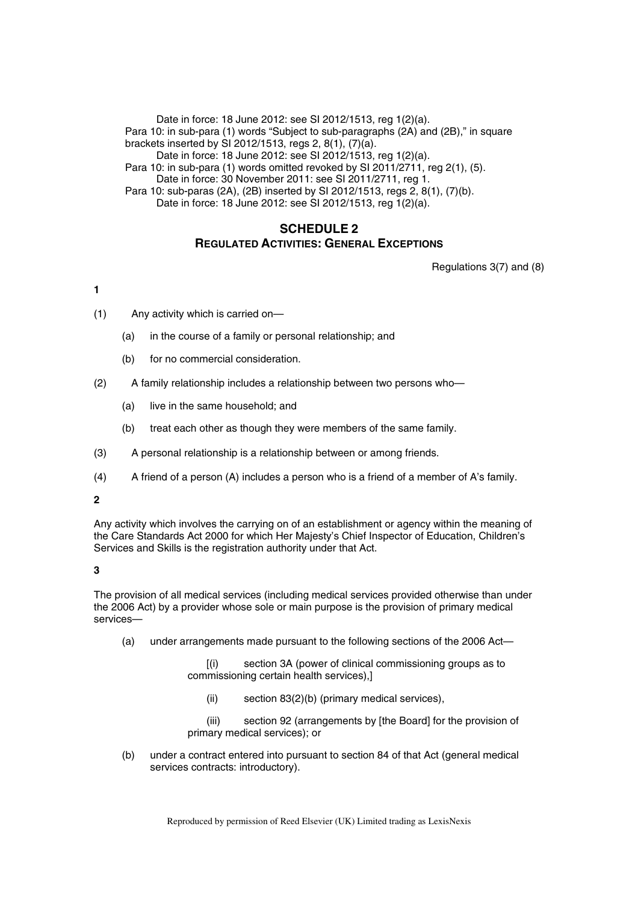Date in force: 18 June 2012: see SI 2012/1513, reg 1(2)(a). Para 10: in sub-para (1) words "Subject to sub-paragraphs (2A) and (2B)," in square brackets inserted by SI 2012/1513, regs 2, 8(1), (7)(a). Date in force: 18 June 2012: see SI 2012/1513, reg 1(2)(a).

Para 10: in sub-para (1) words omitted revoked by SI 2011/2711, reg 2(1), (5).

Date in force: 30 November 2011: see SI 2011/2711, reg 1.

Para 10: sub-paras (2A), (2B) inserted by SI 2012/1513, regs 2, 8(1), (7)(b). Date in force: 18 June 2012: see SI 2012/1513, reg 1(2)(a).

## **SCHEDULE 2 REGULATED ACTIVITIES: GENERAL EXCEPTIONS**

Regulations 3(7) and (8)

## **1**

- (1) Any activity which is carried on—
	- (a) in the course of a family or personal relationship; and
	- (b) for no commercial consideration.
- (2) A family relationship includes a relationship between two persons who—
	- (a) live in the same household; and
	- (b) treat each other as though they were members of the same family.
- (3) A personal relationship is a relationship between or among friends.
- (4) A friend of a person (A) includes a person who is a friend of a member of A's family.

### **2**

Any activity which involves the carrying on of an establishment or agency within the meaning of the Care Standards Act 2000 for which Her Majesty's Chief Inspector of Education, Children's Services and Skills is the registration authority under that Act.

## **3**

The provision of all medical services (including medical services provided otherwise than under the 2006 Act) by a provider whose sole or main purpose is the provision of primary medical services—

(a) under arrangements made pursuant to the following sections of the 2006 Act—

[(i) section 3A (power of clinical commissioning groups as to commissioning certain health services),]

(ii) section 83(2)(b) (primary medical services),

(iii) section 92 (arrangements by [the Board] for the provision of primary medical services); or

(b) under a contract entered into pursuant to section 84 of that Act (general medical services contracts: introductory).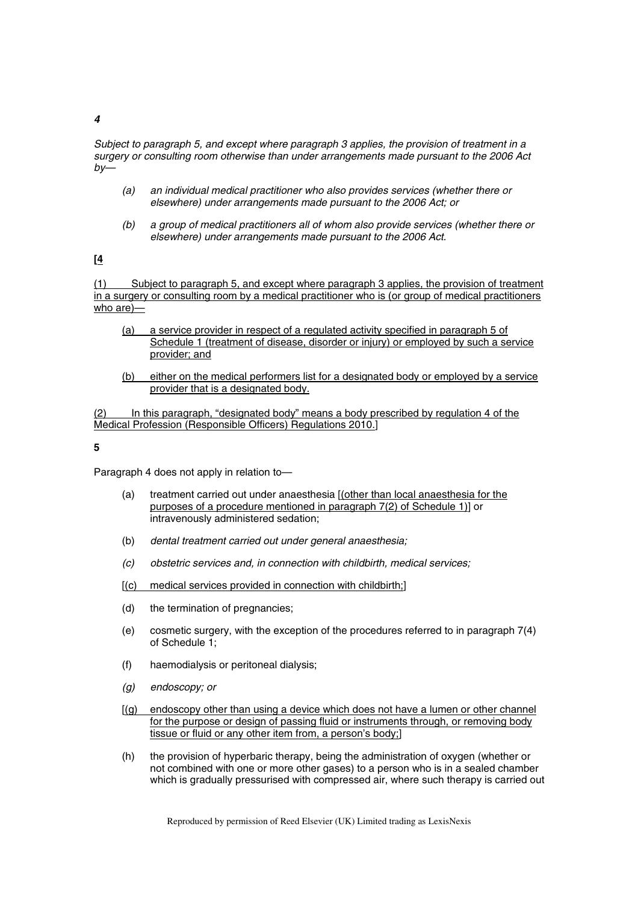#### *4*

*Subject to paragraph 5, and except where paragraph 3 applies, the provision of treatment in a surgery or consulting room otherwise than under arrangements made pursuant to the 2006 Act by—*

- *(a) an individual medical practitioner who also provides services (whether there or elsewhere) under arrangements made pursuant to the 2006 Act; or*
- *(b) a group of medical practitioners all of whom also provide services (whether there or elsewhere) under arrangements made pursuant to the 2006 Act.*

**[4**

(1) Subject to paragraph 5, and except where paragraph 3 applies, the provision of treatment in a surgery or consulting room by a medical practitioner who is (or group of medical practitioners who are)—

- (a) a service provider in respect of a regulated activity specified in paragraph 5 of Schedule 1 (treatment of disease, disorder or injury) or employed by such a service provider; and
- (b) either on the medical performers list for a designated body or employed by a service provider that is a designated body.

(2) In this paragraph, "designated body" means a body prescribed by regulation 4 of the Medical Profession (Responsible Officers) Regulations 2010.]

**5** 

Paragraph 4 does not apply in relation to—

- (a) treatment carried out under anaesthesia [(other than local anaesthesia for the purposes of a procedure mentioned in paragraph 7(2) of Schedule 1)] or intravenously administered sedation;
- (b) *dental treatment carried out under general anaesthesia;*
- *(c) obstetric services and, in connection with childbirth, medical services;*
- [(c) medical services provided in connection with childbirth;]
- (d) the termination of pregnancies;
- (e) cosmetic surgery, with the exception of the procedures referred to in paragraph 7(4) of Schedule 1;
- (f) haemodialysis or peritoneal dialysis;
- *(g) endoscopy; or*
- [(g) endoscopy other than using a device which does not have a lumen or other channel for the purpose or design of passing fluid or instruments through, or removing body tissue or fluid or any other item from, a person's body;]
- (h) the provision of hyperbaric therapy, being the administration of oxygen (whether or not combined with one or more other gases) to a person who is in a sealed chamber which is gradually pressurised with compressed air, where such therapy is carried out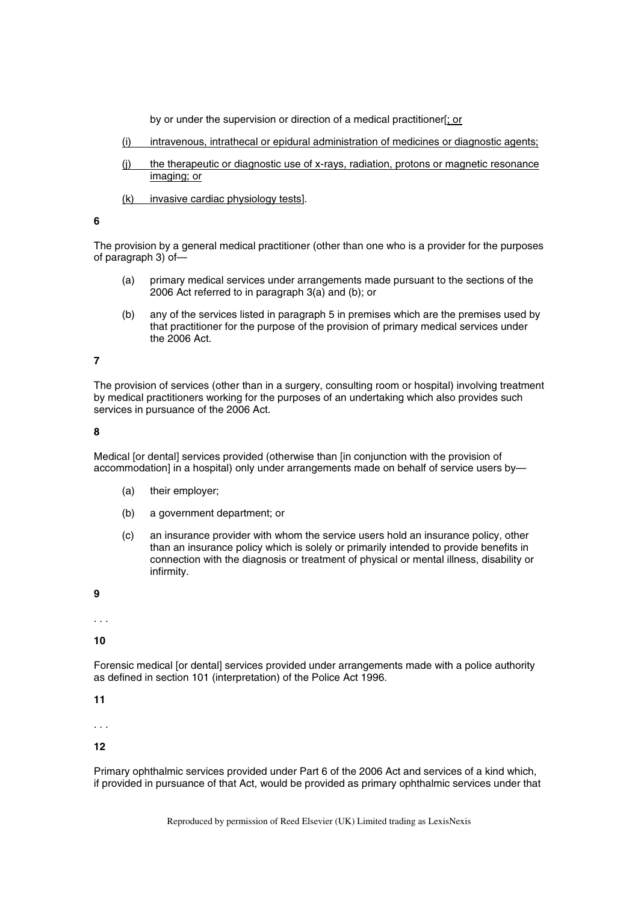by or under the supervision or direction of a medical practitioner[; or

- (i) intravenous, intrathecal or epidural administration of medicines or diagnostic agents;
- (j) the therapeutic or diagnostic use of x-rays, radiation, protons or magnetic resonance imaging; or
- (k) invasive cardiac physiology tests].

#### **6**

The provision by a general medical practitioner (other than one who is a provider for the purposes of paragraph 3) of—

- (a) primary medical services under arrangements made pursuant to the sections of the 2006 Act referred to in paragraph 3(a) and (b); or
- (b) any of the services listed in paragraph 5 in premises which are the premises used by that practitioner for the purpose of the provision of primary medical services under the 2006 Act.

## **7**

The provision of services (other than in a surgery, consulting room or hospital) involving treatment by medical practitioners working for the purposes of an undertaking which also provides such services in pursuance of the 2006 Act.

#### **8**

Medical [or dental] services provided (otherwise than [in conjunction with the provision of accommodation] in a hospital) only under arrangements made on behalf of service users by—

- (a) their employer;
- (b) a government department; or
- (c) an insurance provider with whom the service users hold an insurance policy, other than an insurance policy which is solely or primarily intended to provide benefits in connection with the diagnosis or treatment of physical or mental illness, disability or infirmity.

**9** 

. . .

**10** 

Forensic medical [or dental] services provided under arrangements made with a police authority as defined in section 101 (interpretation) of the Police Act 1996.

**11** 

. . .

### **12**

Primary ophthalmic services provided under Part 6 of the 2006 Act and services of a kind which, if provided in pursuance of that Act, would be provided as primary ophthalmic services under that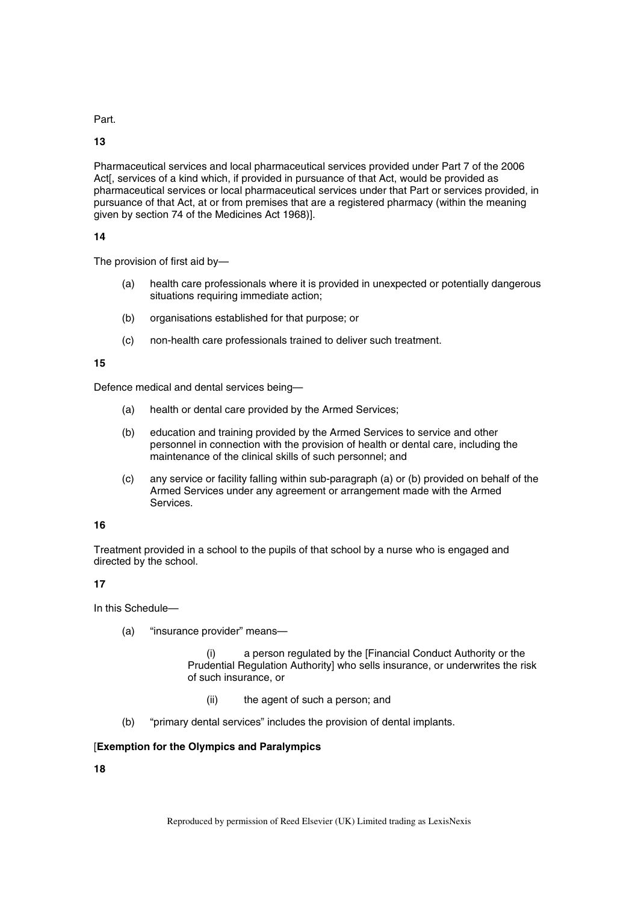Part.

**13** 

Pharmaceutical services and local pharmaceutical services provided under Part 7 of the 2006 Act[, services of a kind which, if provided in pursuance of that Act, would be provided as pharmaceutical services or local pharmaceutical services under that Part or services provided, in pursuance of that Act, at or from premises that are a registered pharmacy (within the meaning given by section 74 of the Medicines Act 1968)].

## **14**

The provision of first aid by—

- (a) health care professionals where it is provided in unexpected or potentially dangerous situations requiring immediate action:
- (b) organisations established for that purpose; or
- (c) non-health care professionals trained to deliver such treatment.

### **15**

Defence medical and dental services being—

- (a) health or dental care provided by the Armed Services;
- (b) education and training provided by the Armed Services to service and other personnel in connection with the provision of health or dental care, including the maintenance of the clinical skills of such personnel; and
- (c) any service or facility falling within sub-paragraph (a) or (b) provided on behalf of the Armed Services under any agreement or arrangement made with the Armed Services.

## **16**

Treatment provided in a school to the pupils of that school by a nurse who is engaged and directed by the school.

## **17**

In this Schedule—

(a) "insurance provider" means—

(i) a person regulated by the [Financial Conduct Authority or the Prudential Regulation Authority] who sells insurance, or underwrites the risk of such insurance, or

- (ii) the agent of such a person; and
- (b) "primary dental services" includes the provision of dental implants.

## [**Exemption for the Olympics and Paralympics**

**18**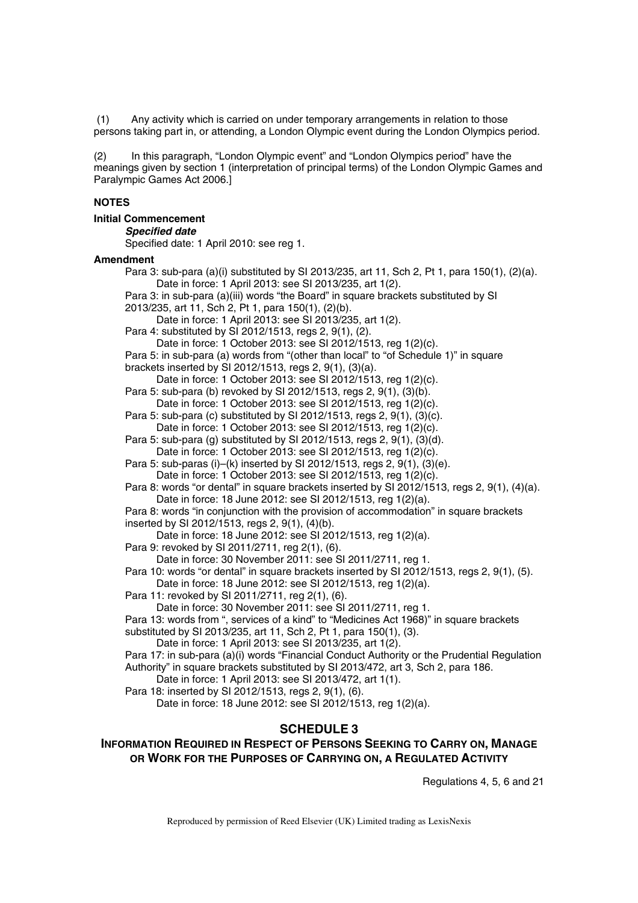(1) Any activity which is carried on under temporary arrangements in relation to those persons taking part in, or attending, a London Olympic event during the London Olympics period.

(2) In this paragraph, "London Olympic event" and "London Olympics period" have the meanings given by section 1 (interpretation of principal terms) of the London Olympic Games and Paralympic Games Act 2006.]

#### **NOTES**

|  | <b>Initial Commencement</b> |
|--|-----------------------------|
|--|-----------------------------|

#### *Specified date*

Specified date: 1 April 2010: see reg 1.

#### **Amendment**

Para 3: sub-para (a)(i) substituted by SI 2013/235, art 11, Sch 2, Pt 1, para 150(1), (2)(a). Date in force: 1 April 2013: see SI 2013/235, art 1(2). Para 3: in sub-para (a)(iii) words "the Board" in square brackets substituted by SI 2013/235, art 11, Sch 2, Pt 1, para 150(1), (2)(b). Date in force: 1 April 2013: see SI 2013/235, art 1(2). Para 4: substituted by SI 2012/1513, regs 2, 9(1), (2). Date in force: 1 October 2013: see SI 2012/1513, reg 1(2)(c). Para 5: in sub-para (a) words from "(other than local" to "of Schedule 1)" in square brackets inserted by SI 2012/1513, regs 2, 9(1), (3)(a). Date in force: 1 October 2013: see SI 2012/1513, reg 1(2)(c). Para 5: sub-para (b) revoked by SI 2012/1513, regs 2, 9(1), (3)(b). Date in force: 1 October 2013: see SI 2012/1513, reg 1(2)(c). Para 5: sub-para (c) substituted by SI 2012/1513, regs 2, 9(1), (3)(c). Date in force: 1 October 2013: see SI 2012/1513, reg 1(2)(c). Para 5: sub-para (g) substituted by SI 2012/1513, regs 2,  $9(1)$ ,  $(3)(d)$ . Date in force: 1 October 2013: see SI 2012/1513, reg 1(2)(c). Para 5: sub-paras (i)–(k) inserted by SI 2012/1513, regs 2, 9(1), (3)(e). Date in force: 1 October 2013: see SI 2012/1513, reg 1(2)(c). Para 8: words "or dental" in square brackets inserted by SI 2012/1513, regs 2, 9(1), (4)(a). Date in force: 18 June 2012: see SI 2012/1513, reg 1(2)(a). Para 8: words "in conjunction with the provision of accommodation" in square brackets inserted by SI 2012/1513, regs 2, 9(1), (4)(b). Date in force: 18 June 2012: see SI 2012/1513, reg 1(2)(a). Para 9: revoked by SI 2011/2711, reg 2(1), (6). Date in force: 30 November 2011: see SI 2011/2711, reg 1. Para 10: words "or dental" in square brackets inserted by SI 2012/1513, regs 2, 9(1), (5). Date in force: 18 June 2012: see SI 2012/1513, reg 1(2)(a). Para 11: revoked by SI 2011/2711, reg 2(1), (6). Date in force: 30 November 2011: see SI 2011/2711, reg 1. Para 13: words from ", services of a kind" to "Medicines Act 1968)" in square brackets substituted by SI 2013/235, art 11, Sch 2, Pt 1, para 150(1), (3). Date in force: 1 April 2013: see SI 2013/235, art 1(2). Para 17: in sub-para (a)(i) words "Financial Conduct Authority or the Prudential Regulation Authority" in square brackets substituted by SI 2013/472, art 3, Sch 2, para 186. Date in force: 1 April 2013: see SI 2013/472, art 1(1). Para 18: inserted by SI 2012/1513, regs 2, 9(1), (6). Date in force: 18 June 2012: see SI 2012/1513, reg 1(2)(a). **SCHEDULE 3** 

## **INFORMATION REQUIRED IN RESPECT OF PERSONS SEEKING TO CARRY ON, MANAGE OR WORK FOR THE PURPOSES OF CARRYING ON, A REGULATED ACTIVITY**

Regulations 4, 5, 6 and 21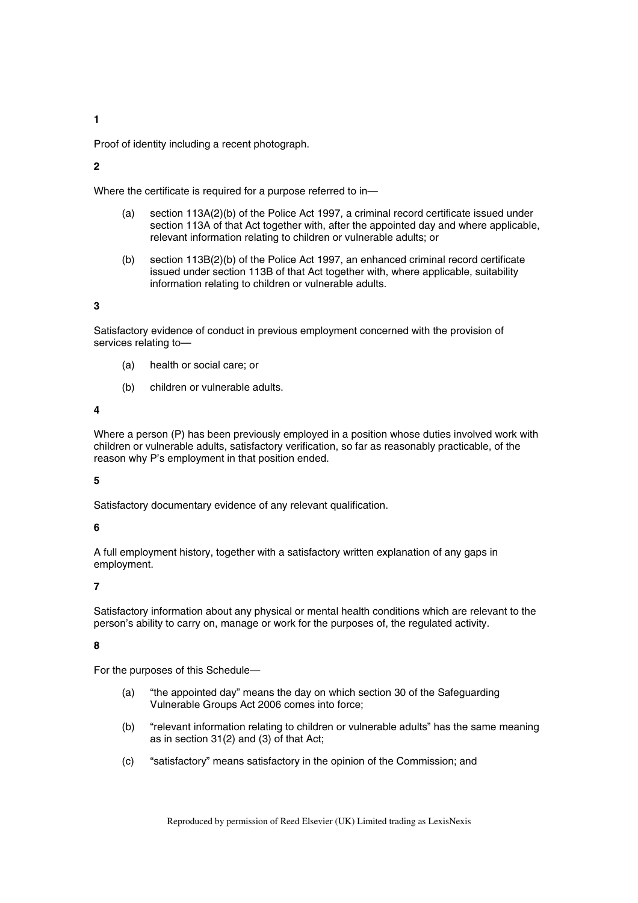**1** 

Proof of identity including a recent photograph.

### **2**

Where the certificate is required for a purpose referred to in—

- (a) section 113A(2)(b) of the Police Act 1997, a criminal record certificate issued under section 113A of that Act together with, after the appointed day and where applicable, relevant information relating to children or vulnerable adults; or
- (b) section 113B(2)(b) of the Police Act 1997, an enhanced criminal record certificate issued under section 113B of that Act together with, where applicable, suitability information relating to children or vulnerable adults.

### **3**

Satisfactory evidence of conduct in previous employment concerned with the provision of services relating to—

- (a) health or social care; or
- (b) children or vulnerable adults.

#### **4**

Where a person (P) has been previously employed in a position whose duties involved work with children or vulnerable adults, satisfactory verification, so far as reasonably practicable, of the reason why P's employment in that position ended.

#### **5**

Satisfactory documentary evidence of any relevant qualification.

### **6**

A full employment history, together with a satisfactory written explanation of any gaps in employment.

#### **7**

Satisfactory information about any physical or mental health conditions which are relevant to the person's ability to carry on, manage or work for the purposes of, the regulated activity.

#### **8**

For the purposes of this Schedule—

- (a) "the appointed day" means the day on which section 30 of the Safeguarding Vulnerable Groups Act 2006 comes into force;
- (b) "relevant information relating to children or vulnerable adults" has the same meaning as in section 31(2) and (3) of that Act;
- (c) "satisfactory" means satisfactory in the opinion of the Commission; and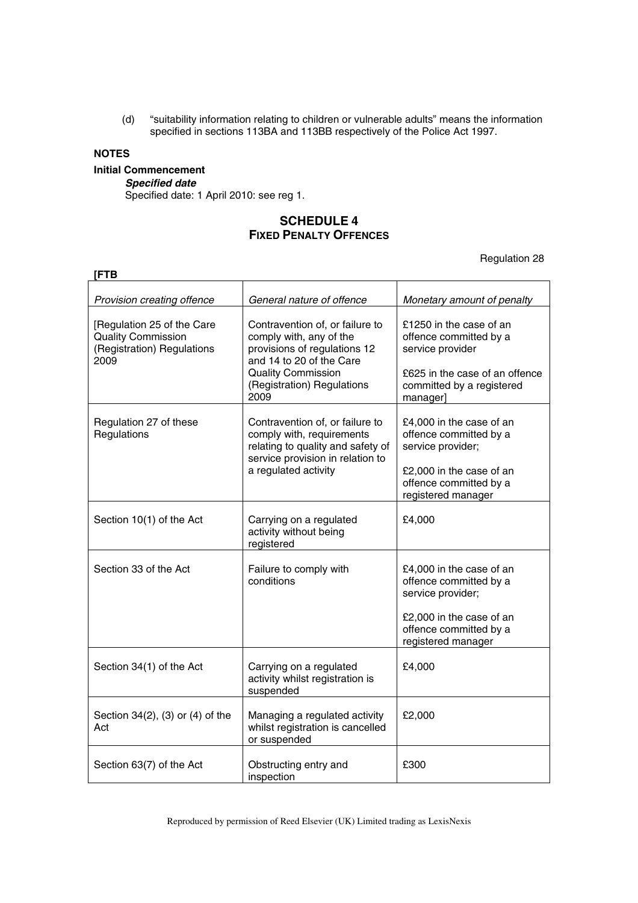(d) "suitability information relating to children or vulnerable adults" means the information specified in sections 113BA and 113BB respectively of the Police Act 1997.

## **NOTES**

## **Initial Commencement**

*Specified date* 

Specified date: 1 April 2010: see reg 1.

## **SCHEDULE 4 FIXED PENALTY OFFENCES**

Regulation 28

| [FTB                                                                                          |                                                                                                                                                                                           |                                                                                                                                                     |  |  |
|-----------------------------------------------------------------------------------------------|-------------------------------------------------------------------------------------------------------------------------------------------------------------------------------------------|-----------------------------------------------------------------------------------------------------------------------------------------------------|--|--|
| Provision creating offence                                                                    | General nature of offence                                                                                                                                                                 | Monetary amount of penalty                                                                                                                          |  |  |
| [Regulation 25 of the Care<br><b>Quality Commission</b><br>(Registration) Regulations<br>2009 | Contravention of, or failure to<br>comply with, any of the<br>provisions of regulations 12<br>and 14 to 20 of the Care<br><b>Quality Commission</b><br>(Registration) Regulations<br>2009 | £1250 in the case of an<br>offence committed by a<br>service provider<br>£625 in the case of an offence<br>committed by a registered<br>manager]    |  |  |
| Regulation 27 of these<br>Regulations                                                         | Contravention of, or failure to<br>comply with, requirements<br>relating to quality and safety of<br>service provision in relation to<br>a regulated activity                             | £4,000 in the case of an<br>offence committed by a<br>service provider;<br>£2,000 in the case of an<br>offence committed by a<br>registered manager |  |  |
| Section 10(1) of the Act                                                                      | Carrying on a regulated<br>activity without being<br>registered                                                                                                                           | £4,000                                                                                                                                              |  |  |
| Section 33 of the Act                                                                         | Failure to comply with<br>conditions                                                                                                                                                      | £4,000 in the case of an<br>offence committed by a<br>service provider;<br>£2,000 in the case of an<br>offence committed by a<br>registered manager |  |  |
| Section 34(1) of the Act                                                                      | Carrying on a regulated<br>activity whilst registration is<br>suspended                                                                                                                   | £4,000                                                                                                                                              |  |  |
| Section 34(2), (3) or (4) of the<br>Act                                                       | Managing a regulated activity<br>whilst registration is cancelled<br>or suspended                                                                                                         | £2,000                                                                                                                                              |  |  |
| Section 63(7) of the Act                                                                      | Obstructing entry and<br>inspection                                                                                                                                                       | £300                                                                                                                                                |  |  |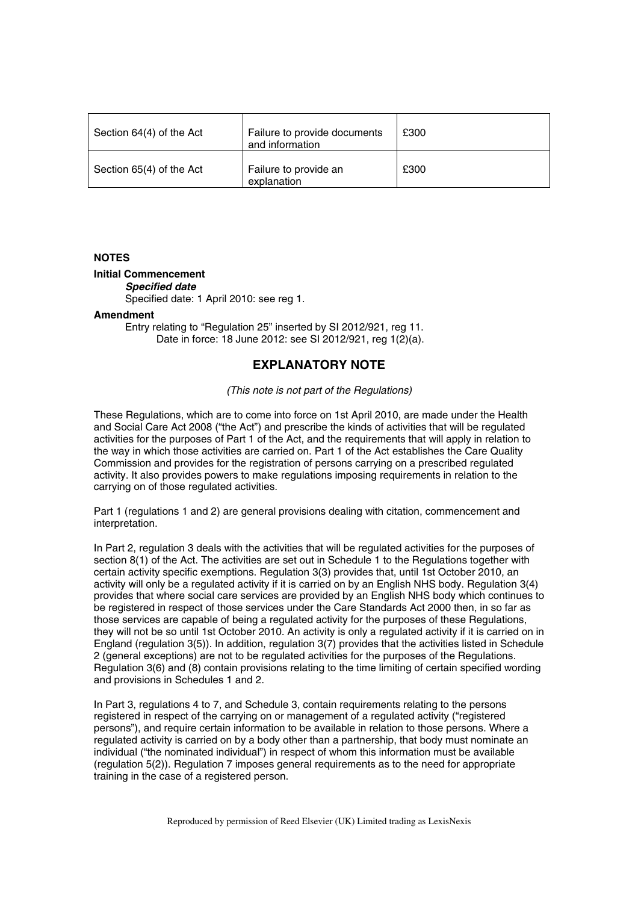| Section 64(4) of the Act | Failure to provide documents<br>and information | £300 |
|--------------------------|-------------------------------------------------|------|
| Section 65(4) of the Act | Failure to provide an<br>explanation            | £300 |

#### **NOTES**

#### **Initial Commencement**

*Specified date* 

Specified date: 1 April 2010: see reg 1.

#### **Amendment**

Entry relating to "Regulation 25" inserted by SI 2012/921, reg 11. Date in force: 18 June 2012: see SI 2012/921, reg 1(2)(a).

## **EXPLANATORY NOTE**

#### *(This note is not part of the Regulations)*

These Regulations, which are to come into force on 1st April 2010, are made under the Health and Social Care Act 2008 ("the Act") and prescribe the kinds of activities that will be regulated activities for the purposes of Part 1 of the Act, and the requirements that will apply in relation to the way in which those activities are carried on. Part 1 of the Act establishes the Care Quality Commission and provides for the registration of persons carrying on a prescribed regulated activity. It also provides powers to make regulations imposing requirements in relation to the carrying on of those regulated activities.

Part 1 (regulations 1 and 2) are general provisions dealing with citation, commencement and interpretation.

In Part 2, regulation 3 deals with the activities that will be regulated activities for the purposes of section 8(1) of the Act. The activities are set out in Schedule 1 to the Regulations together with certain activity specific exemptions. Regulation 3(3) provides that, until 1st October 2010, an activity will only be a regulated activity if it is carried on by an English NHS body. Regulation 3(4) provides that where social care services are provided by an English NHS body which continues to be registered in respect of those services under the Care Standards Act 2000 then, in so far as those services are capable of being a regulated activity for the purposes of these Regulations, they will not be so until 1st October 2010. An activity is only a regulated activity if it is carried on in England (regulation 3(5)). In addition, regulation 3(7) provides that the activities listed in Schedule 2 (general exceptions) are not to be regulated activities for the purposes of the Regulations. Regulation 3(6) and (8) contain provisions relating to the time limiting of certain specified wording and provisions in Schedules 1 and 2.

In Part 3, regulations 4 to 7, and Schedule 3, contain requirements relating to the persons registered in respect of the carrying on or management of a regulated activity ("registered persons"), and require certain information to be available in relation to those persons. Where a regulated activity is carried on by a body other than a partnership, that body must nominate an individual ("the nominated individual") in respect of whom this information must be available (regulation 5(2)). Regulation 7 imposes general requirements as to the need for appropriate training in the case of a registered person.